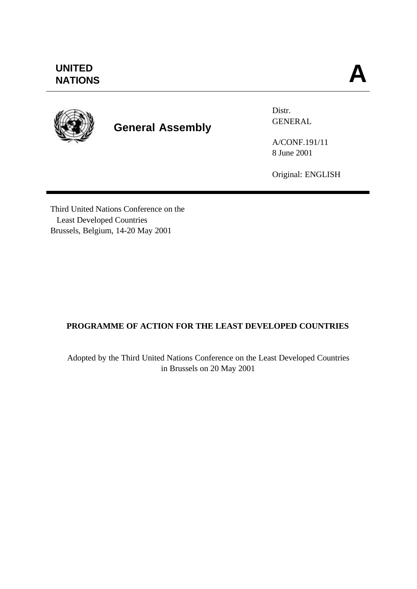# **UNITED NATIONS**



**General Assembly**

Distr. **GENERAL** 

A/CONF.191/11 8 June 2001

Original: ENGLISH

Third United Nations Conference on the Least Developed Countries Brussels, Belgium, 14-20 May 2001

# **PROGRAMME OF ACTION FOR THE LEAST DEVELOPED COUNTRIES**

Adopted by the Third United Nations Conference on the Least Developed Countries in Brussels on 20 May 2001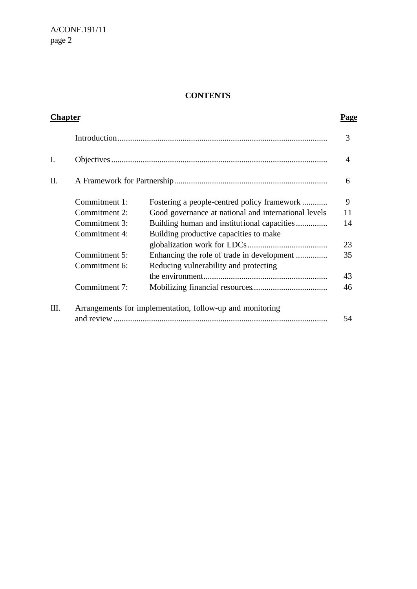# **CONTENTS**

|    | <b>Chapter</b>                                            |                                                      |    |
|----|-----------------------------------------------------------|------------------------------------------------------|----|
|    |                                                           |                                                      | 3  |
| I. |                                                           |                                                      | 4  |
| Π. |                                                           |                                                      | 6  |
|    | Commitment 1:                                             | Fostering a people-centred policy framework          | 9  |
|    | Commitment 2:                                             | Good governance at national and international levels | 11 |
|    | Commitment 3:                                             | Building human and institutional capacities          | 14 |
|    | Commitment 4:                                             | Building productive capacities to make               |    |
|    |                                                           |                                                      | 23 |
|    | Commitment 5:                                             | Enhancing the role of trade in development           | 35 |
|    | Commitment 6:                                             | Reducing vulnerability and protecting                |    |
|    |                                                           |                                                      | 43 |
|    | Commitment 7:                                             |                                                      | 46 |
| Ш. | Arrangements for implementation, follow-up and monitoring |                                                      |    |
|    |                                                           |                                                      | 54 |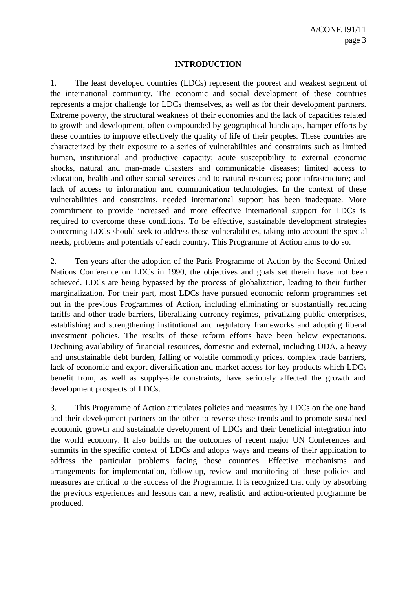#### **INTRODUCTION**

1. The least developed countries (LDCs) represent the poorest and weakest segment of the international community. The economic and social development of these countries represents a major challenge for LDCs themselves, as well as for their development partners. Extreme poverty, the structural weakness of their economies and the lack of capacities related to growth and development, often compounded by geographical handicaps, hamper efforts by these countries to improve effectively the quality of life of their peoples. These countries are characterized by their exposure to a series of vulnerabilities and constraints such as limited human, institutional and productive capacity; acute susceptibility to external economic shocks, natural and man-made disasters and communicable diseases; limited access to education, health and other social services and to natural resources; poor infrastructure; and lack of access to information and communication technologies. In the context of these vulnerabilities and constraints, needed international support has been inadequate. More commitment to provide increased and more effective international support for LDCs is required to overcome these conditions. To be effective, sustainable development strategies concerning LDCs should seek to address these vulnerabilities, taking into account the special needs, problems and potentials of each country. This Programme of Action aims to do so.

2. Ten years after the adoption of the Paris Programme of Action by the Second United Nations Conference on LDCs in 1990, the objectives and goals set therein have not been achieved. LDCs are being bypassed by the process of globalization, leading to their further marginalization. For their part, most LDCs have pursued economic reform programmes set out in the previous Programmes of Action, including eliminating or substantially reducing tariffs and other trade barriers, liberalizing currency regimes, privatizing public enterprises, establishing and strengthening institutional and regulatory frameworks and adopting liberal investment policies. The results of these reform efforts have been below expectations. Declining availability of financial resources, domestic and external, including ODA, a heavy and unsustainable debt burden, falling or volatile commodity prices, complex trade barriers, lack of economic and export diversification and market access for key products which LDCs benefit from, as well as supply-side constraints, have seriously affected the growth and development prospects of LDCs.

3. This Programme of Action articulates policies and measures by LDCs on the one hand and their development partners on the other to reverse these trends and to promote sustained economic growth and sustainable development of LDCs and their beneficial integration into the world economy. It also builds on the outcomes of recent major UN Conferences and summits in the specific context of LDCs and adopts ways and means of their application to address the particular problems facing those countries. Effective mechanisms and arrangements for implementation, follow-up, review and monitoring of these policies and measures are critical to the success of the Programme. It is recognized that only by absorbing the previous experiences and lessons can a new, realistic and action-oriented programme be produced.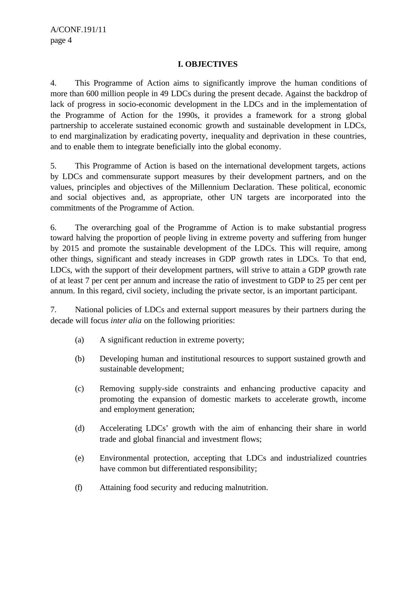#### **I. OBJECTIVES**

4. This Programme of Action aims to significantly improve the human conditions of more than 600 million people in 49 LDCs during the present decade. Against the backdrop of lack of progress in socio-economic development in the LDCs and in the implementation of the Programme of Action for the 1990s, it provides a framework for a strong global partnership to accelerate sustained economic growth and sustainable development in LDCs, to end marginalization by eradicating poverty, inequality and deprivation in these countries, and to enable them to integrate beneficially into the global economy.

5. This Programme of Action is based on the international development targets, actions by LDCs and commensurate support measures by their development partners, and on the values, principles and objectives of the Millennium Declaration. These political, economic and social objectives and, as appropriate, other UN targets are incorporated into the commitments of the Programme of Action.

6. The overarching goal of the Programme of Action is to make substantial progress toward halving the proportion of people living in extreme poverty and suffering from hunger by 2015 and promote the sustainable development of the LDCs. This will require, among other things, significant and steady increases in GDP growth rates in LDCs. To that end, LDCs, with the support of their development partners, will strive to attain a GDP growth rate of at least 7 per cent per annum and increase the ratio of investment to GDP to 25 per cent per annum. In this regard, civil society, including the private sector, is an important participant.

7. National policies of LDCs and external support measures by their partners during the decade will focus *inter alia* on the following priorities:

- (a) A significant reduction in extreme poverty;
- (b) Developing human and institutional resources to support sustained growth and sustainable development;
- (c) Removing supply-side constraints and enhancing productive capacity and promoting the expansion of domestic markets to accelerate growth, income and employment generation;
- (d) Accelerating LDCs' growth with the aim of enhancing their share in world trade and global financial and investment flows;
- (e) Environmental protection, accepting that LDCs and industrialized countries have common but differentiated responsibility;
- (f) Attaining food security and reducing malnutrition.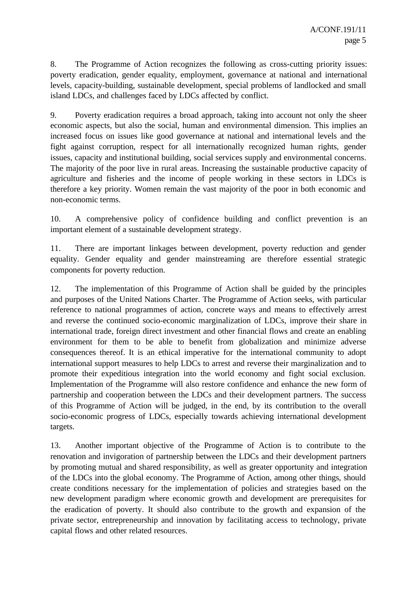8. The Programme of Action recognizes the following as cross-cutting priority issues: poverty eradication, gender equality, employment, governance at national and international levels, capacity-building, sustainable development, special problems of landlocked and small island LDCs, and challenges faced by LDCs affected by conflict.

9. Poverty eradication requires a broad approach, taking into account not only the sheer economic aspects, but also the social, human and environmental dimension. This implies an increased focus on issues like good governance at national and international levels and the fight against corruption, respect for all internationally recognized human rights, gender issues, capacity and institutional building, social services supply and environmental concerns. The majority of the poor live in rural areas. Increasing the sustainable productive capacity of agriculture and fisheries and the income of people working in these sectors in LDCs is therefore a key priority. Women remain the vast majority of the poor in both economic and non-economic terms.

10. A comprehensive policy of confidence building and conflict prevention is an important element of a sustainable development strategy.

11. There are important linkages between development, poverty reduction and gender equality. Gender equality and gender mainstreaming are therefore essential strategic components for poverty reduction.

12. The implementation of this Programme of Action shall be guided by the principles and purposes of the United Nations Charter. The Programme of Action seeks, with particular reference to national programmes of action, concrete ways and means to effectively arrest and reverse the continued socio-economic marginalization of LDCs, improve their share in international trade, foreign direct investment and other financial flows and create an enabling environment for them to be able to benefit from globalization and minimize adverse consequences thereof. It is an ethical imperative for the international community to adopt international support measures to help LDCs to arrest and reverse their marginalization and to promote their expeditious integration into the world economy and fight social exclusion. Implementation of the Programme will also restore confidence and enhance the new form of partnership and cooperation between the LDCs and their development partners. The success of this Programme of Action will be judged, in the end, by its contribution to the overall socio-economic progress of LDCs, especially towards achieving international development targets.

13. Another important objective of the Programme of Action is to contribute to the renovation and invigoration of partnership between the LDCs and their development partners by promoting mutual and shared responsibility, as well as greater opportunity and integration of the LDCs into the global economy. The Programme of Action, among other things, should create conditions necessary for the implementation of policies and strategies based on the new development paradigm where economic growth and development are prerequisites for the eradication of poverty. It should also contribute to the growth and expansion of the private sector, entrepreneurship and innovation by facilitating access to technology, private capital flows and other related resources.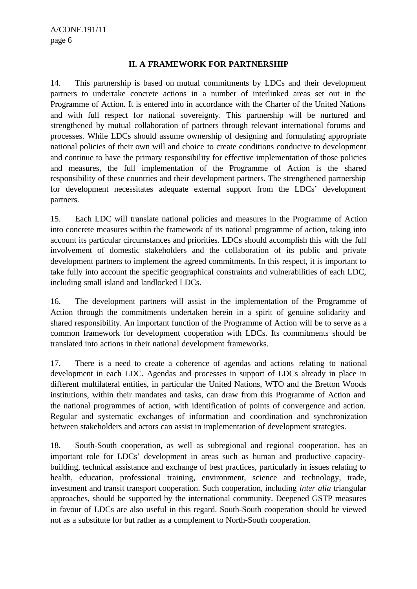#### **II. A FRAMEWORK FOR PARTNERSHIP**

14. This partnership is based on mutual commitments by LDCs and their development partners to undertake concrete actions in a number of interlinked areas set out in the Programme of Action. It is entered into in accordance with the Charter of the United Nations and with full respect for national sovereignty. This partnership will be nurtured and strengthened by mutual collaboration of partners through relevant international forums and processes. While LDCs should assume ownership of designing and formulating appropriate national policies of their own will and choice to create conditions conducive to development and continue to have the primary responsibility for effective implementation of those policies and measures, the full implementation of the Programme of Action is the shared responsibility of these countries and their development partners. The strengthened partnership for development necessitates adequate external support from the LDCs' development partners.

15. Each LDC will translate national policies and measures in the Programme of Action into concrete measures within the framework of its national programme of action, taking into account its particular circumstances and priorities. LDCs should accomplish this with the full involvement of domestic stakeholders and the collaboration of its public and private development partners to implement the agreed commitments. In this respect, it is important to take fully into account the specific geographical constraints and vulnerabilities of each LDC, including small island and landlocked LDCs.

16. The development partners will assist in the implementation of the Programme of Action through the commitments undertaken herein in a spirit of genuine solidarity and shared responsibility. An important function of the Programme of Action will be to serve as a common framework for development cooperation with LDCs. Its commitments should be translated into actions in their national development frameworks.

17. There is a need to create a coherence of agendas and actions relating to national development in each LDC. Agendas and processes in support of LDCs already in place in different multilateral entities, in particular the United Nations, WTO and the Bretton Woods institutions, within their mandates and tasks, can draw from this Programme of Action and the national programmes of action, with identification of points of convergence and action. Regular and systematic exchanges of information and coordination and synchronization between stakeholders and actors can assist in implementation of development strategies.

18. South-South cooperation, as well as subregional and regional cooperation, has an important role for LDCs' development in areas such as human and productive capacitybuilding, technical assistance and exchange of best practices, particularly in issues relating to health, education, professional training, environment, science and technology, trade, investment and transit transport cooperation. Such cooperation, including *inter alia* triangular approaches, should be supported by the international community. Deepened GSTP measures in favour of LDCs are also useful in this regard. South-South cooperation should be viewed not as a substitute for but rather as a complement to North-South cooperation.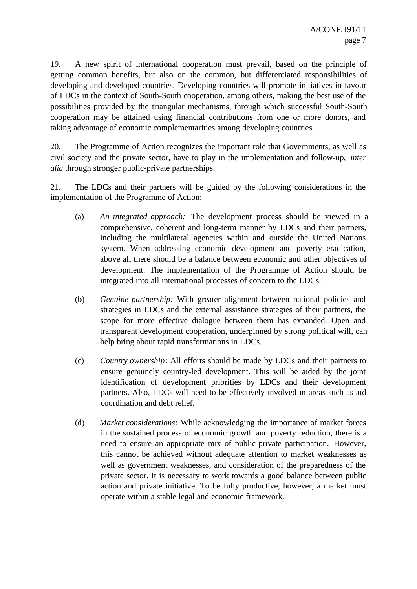19. A new spirit of international cooperation must prevail, based on the principle of getting common benefits, but also on the common, but differentiated responsibilities of developing and developed countries. Developing countries will promote initiatives in favour of LDCs in the context of South-South cooperation, among others, making the best use of the possibilities provided by the triangular mechanisms, through which successful South-South cooperation may be attained using financial contributions from one or more donors, and taking advantage of economic complementarities among developing countries.

20. The Programme of Action recognizes the important role that Governments, as well as civil society and the private sector, have to play in the implementation and follow-up, *inter alia* through stronger public-private partnerships.

21. The LDCs and their partners will be guided by the following considerations in the implementation of the Programme of Action:

- (a) *An integrated approach:* The development process should be viewed in a comprehensive, coherent and long-term manner by LDCs and their partners, including the multilateral agencies within and outside the United Nations system. When addressing economic development and poverty eradication, above all there should be a balance between economic and other objectives of development. The implementation of the Programme of Action should be integrated into all international processes of concern to the LDCs.
- (b) *Genuine partnership:* With greater alignment between national policies and strategies in LDCs and the external assistance strategies of their partners, the scope for more effective dialogue between them has expanded. Open and transparent development cooperation, underpinned by strong political will, can help bring about rapid transformations in LDCs.
- (c) *Country ownership*: All efforts should be made by LDCs and their partners to ensure genuinely country-led development. This will be aided by the joint identification of development priorities by LDCs and their development partners. Also, LDCs will need to be effectively involved in areas such as aid coordination and debt relief.
- (d) *Market considerations:* While acknowledging the importance of market forces in the sustained process of economic growth and poverty reduction, there is a need to ensure an appropriate mix of public-private participation. However, this cannot be achieved without adequate attention to market weaknesses as well as government weaknesses, and consideration of the preparedness of the private sector. It is necessary to work towards a good balance between public action and private initiative. To be fully productive, however, a market must operate within a stable legal and economic framework.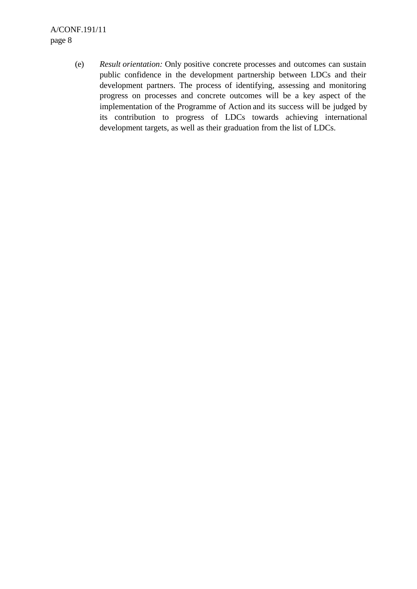A/CONF.191/11 page 8

> (e) *Result orientation:* Only positive concrete processes and outcomes can sustain public confidence in the development partnership between LDCs and their development partners. The process of identifying, assessing and monitoring progress on processes and concrete outcomes will be a key aspect of the implementation of the Programme of Action and its success will be judged by its contribution to progress of LDCs towards achieving international development targets, as well as their graduation from the list of LDCs.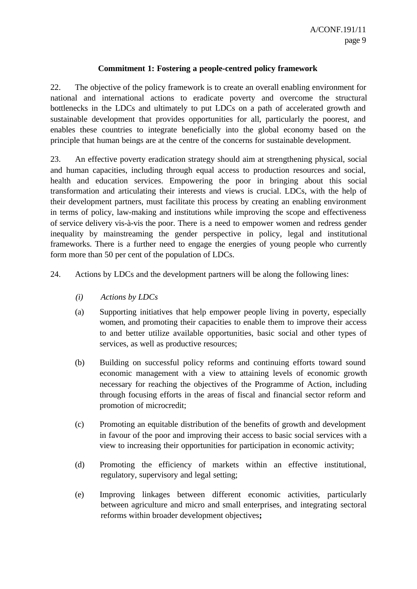## **Commitment 1: Fostering a people-centred policy framework**

22. The objective of the policy framework is to create an overall enabling environment for national and international actions to eradicate poverty and overcome the structural bottlenecks in the LDCs and ultimately to put LDCs on a path of accelerated growth and sustainable development that provides opportunities for all, particularly the poorest, and enables these countries to integrate beneficially into the global economy based on the principle that human beings are at the centre of the concerns for sustainable development.

23. An effective poverty eradication strategy should aim at strengthening physical, social and human capacities, including through equal access to production resources and social, health and education services. Empowering the poor in bringing about this social transformation and articulating their interests and views is crucial. LDCs, with the help of their development partners, must facilitate this process by creating an enabling environment in terms of policy, law-making and institutions while improving the scope and effectiveness of service delivery vis-à-vis the poor. There is a need to empower women and redress gender inequality by mainstreaming the gender perspective in policy, legal and institutional frameworks. There is a further need to engage the energies of young people who currently form more than 50 per cent of the population of LDCs.

24. Actions by LDCs and the development partners will be along the following lines:

- *(i) Actions by LDCs*
- (a) Supporting initiatives that help empower people living in poverty, especially women, and promoting their capacities to enable them to improve their access to and better utilize available opportunities, basic social and other types of services, as well as productive resources;
- (b) Building on successful policy reforms and continuing efforts toward sound economic management with a view to attaining levels of economic growth necessary for reaching the objectives of the Programme of Action, including through focusing efforts in the areas of fiscal and financial sector reform and promotion of microcredit;
- (c) Promoting an equitable distribution of the benefits of growth and development in favour of the poor and improving their access to basic social services with a view to increasing their opportunities for participation in economic activity;
- (d) Promoting the efficiency of markets within an effective institutional, regulatory, supervisory and legal setting;
- (e) Improving linkages between different economic activities, particularly between agriculture and micro and small enterprises, and integrating sectoral reforms within broader development objectives**;**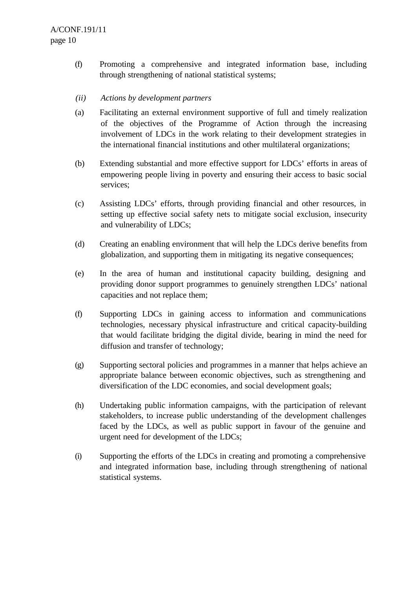- (f) Promoting a comprehensive and integrated information base, including through strengthening of national statistical systems;
- *(ii) Actions by development partners*
- (a) Facilitating an external environment supportive of full and timely realization of the objectives of the Programme of Action through the increasing involvement of LDCs in the work relating to their development strategies in the international financial institutions and other multilateral organizations;
- (b) Extending substantial and more effective support for LDCs' efforts in areas of empowering people living in poverty and ensuring their access to basic social services;
- (c) Assisting LDCs' efforts, through providing financial and other resources, in setting up effective social safety nets to mitigate social exclusion, insecurity and vulnerability of LDCs;
- (d) Creating an enabling environment that will help the LDCs derive benefits from globalization, and supporting them in mitigating its negative consequences;
- (e) In the area of human and institutional capacity building, designing and providing donor support programmes to genuinely strengthen LDCs' national capacities and not replace them;
- (f) Supporting LDCs in gaining access to information and communications technologies, necessary physical infrastructure and critical capacity-building that would facilitate bridging the digital divide, bearing in mind the need for diffusion and transfer of technology;
- (g) Supporting sectoral policies and programmes in a manner that helps achieve an appropriate balance between economic objectives, such as strengthening and diversification of the LDC economies, and social development goals;
- (h) Undertaking public information campaigns, with the participation of relevant stakeholders, to increase public understanding of the development challenges faced by the LDCs, as well as public support in favour of the genuine and urgent need for development of the LDCs;
- (i) Supporting the efforts of the LDCs in creating and promoting a comprehensive and integrated information base, including through strengthening of national statistical systems.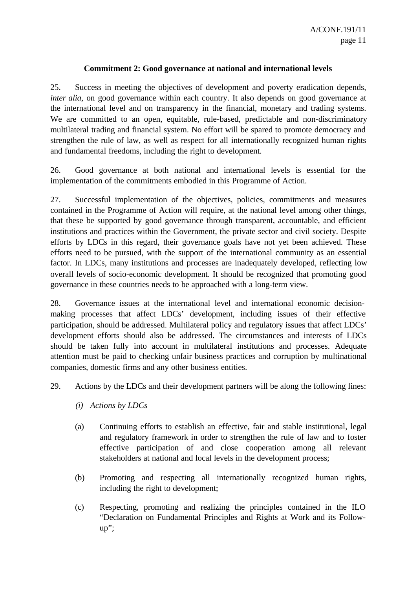## **Commitment 2: Good governance at national and international levels**

25. Success in meeting the objectives of development and poverty eradication depends, *inter alia*, on good governance within each country. It also depends on good governance at the international level and on transparency in the financial, monetary and trading systems. We are committed to an open, equitable, rule-based, predictable and non-discriminatory multilateral trading and financial system. No effort will be spared to promote democracy and strengthen the rule of law, as well as respect for all internationally recognized human rights and fundamental freedoms, including the right to development.

26. Good governance at both national and international levels is essential for the implementation of the commitments embodied in this Programme of Action.

27. Successful implementation of the objectives, policies, commitments and measures contained in the Programme of Action will require, at the national level among other things, that these be supported by good governance through transparent, accountable, and efficient institutions and practices within the Government, the private sector and civil society. Despite efforts by LDCs in this regard, their governance goals have not yet been achieved. These efforts need to be pursued, with the support of the international community as an essential factor. In LDCs, many institutions and processes are inadequately developed, reflecting low overall levels of socio-economic development. It should be recognized that promoting good governance in these countries needs to be approached with a long-term view.

28. Governance issues at the international level and international economic decisionmaking processes that affect LDCs' development, including issues of their effective participation, should be addressed. Multilateral policy and regulatory issues that affect LDCs' development efforts should also be addressed. The circumstances and interests of LDCs should be taken fully into account in multilateral institutions and processes. Adequate attention must be paid to checking unfair business practices and corruption by multinational companies, domestic firms and any other business entities.

29. Actions by the LDCs and their development partners will be along the following lines:

- *(i) Actions by LDCs*
- (a) Continuing efforts to establish an effective, fair and stable institutional, legal and regulatory framework in order to strengthen the rule of law and to foster effective participation of and close cooperation among all relevant stakeholders at national and local levels in the development process;
- (b) Promoting and respecting all internationally recognized human rights, including the right to development;
- (c) Respecting, promoting and realizing the principles contained in the ILO "Declaration on Fundamental Principles and Rights at Work and its Followup";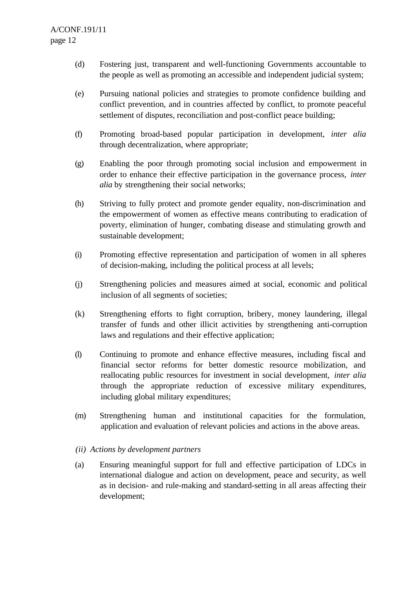- (d) Fostering just, transparent and well-functioning Governments accountable to the people as well as promoting an accessible and independent judicial system;
- (e) Pursuing national policies and strategies to promote confidence building and conflict prevention, and in countries affected by conflict, to promote peaceful settlement of disputes, reconciliation and post-conflict peace building;
- (f) Promoting broad-based popular participation in development, *inter alia* through decentralization, where appropriate;
- (g) Enabling the poor through promoting social inclusion and empowerment in order to enhance their effective participation in the governance process, *inter alia* by strengthening their social networks;
- (h) Striving to fully protect and promote gender equality, non-discrimination and the empowerment of women as effective means contributing to eradication of poverty, elimination of hunger, combating disease and stimulating growth and sustainable development;
- (i) Promoting effective representation and participation of women in all spheres of decision-making, including the political process at all levels;
- (j) Strengthening policies and measures aimed at social, economic and political inclusion of all segments of societies;
- (k) Strengthening efforts to fight corruption, bribery, money laundering, illegal transfer of funds and other illicit activities by strengthening anti-corruption laws and regulations and their effective application;
- (l) Continuing to promote and enhance effective measures, including fiscal and financial sector reforms for better domestic resource mobilization, and reallocating public resources for investment in social development, *inter alia* through the appropriate reduction of excessive military expenditures, including global military expenditures;
- (m) Strengthening human and institutional capacities for the formulation, application and evaluation of relevant policies and actions in the above areas.
- *(ii) Actions by development partners*
- (a) Ensuring meaningful support for full and effective participation of LDCs in international dialogue and action on development, peace and security, as well as in decision- and rule-making and standard-setting in all areas affecting their development;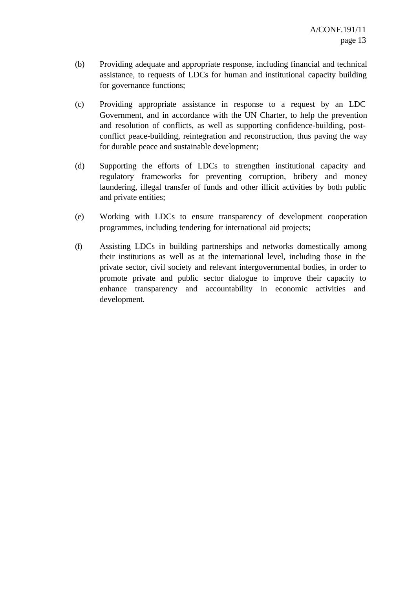- (b) Providing adequate and appropriate response, including financial and technical assistance, to requests of LDCs for human and institutional capacity building for governance functions;
- (c) Providing appropriate assistance in response to a request by an LDC Government, and in accordance with the UN Charter, to help the prevention and resolution of conflicts, as well as supporting confidence-building, postconflict peace-building, reintegration and reconstruction, thus paving the way for durable peace and sustainable development;
- (d) Supporting the efforts of LDCs to strengthen institutional capacity and regulatory frameworks for preventing corruption, bribery and money laundering, illegal transfer of funds and other illicit activities by both public and private entities;
- (e) Working with LDCs to ensure transparency of development cooperation programmes, including tendering for international aid projects;
- (f) Assisting LDCs in building partnerships and networks domestically among their institutions as well as at the international level, including those in the private sector, civil society and relevant intergovernmental bodies, in order to promote private and public sector dialogue to improve their capacity to enhance transparency and accountability in economic activities and development.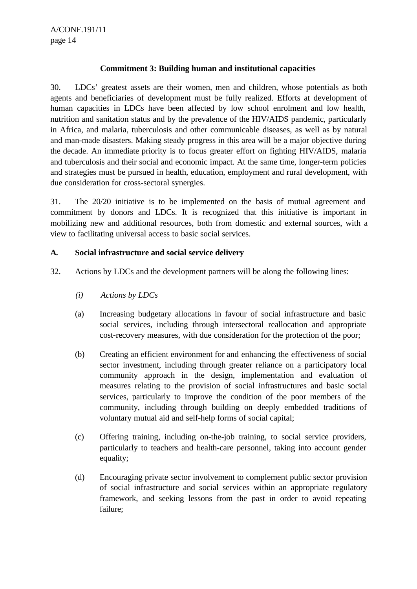#### **Commitment 3: Building human and institutional capacities**

30. LDCs' greatest assets are their women, men and children, whose potentials as both agents and beneficiaries of development must be fully realized. Efforts at development of human capacities in LDCs have been affected by low school enrolment and low health, nutrition and sanitation status and by the prevalence of the HIV/AIDS pandemic, particularly in Africa, and malaria, tuberculosis and other communicable diseases, as well as by natural and man-made disasters. Making steady progress in this area will be a major objective during the decade. An immediate priority is to focus greater effort on fighting HIV/AIDS, malaria and tuberculosis and their social and economic impact. At the same time, longer-term policies and strategies must be pursued in health, education, employment and rural development, with due consideration for cross-sectoral synergies.

31. The 20/20 initiative is to be implemented on the basis of mutual agreement and commitment by donors and LDCs. It is recognized that this initiative is important in mobilizing new and additional resources, both from domestic and external sources, with a view to facilitating universal access to basic social services.

#### **A. Social infrastructure and social service delivery**

32. Actions by LDCs and the development partners will be along the following lines:

- *(i) Actions by LDCs*
- (a) Increasing budgetary allocations in favour of social infrastructure and basic social services, including through intersectoral reallocation and appropriate cost-recovery measures, with due consideration for the protection of the poor;
- (b) Creating an efficient environment for and enhancing the effectiveness of social sector investment, including through greater reliance on a participatory local community approach in the design, implementation and evaluation of measures relating to the provision of social infrastructures and basic social services, particularly to improve the condition of the poor members of the community, including through building on deeply embedded traditions of voluntary mutual aid and self-help forms of social capital;
- (c) Offering training, including on-the-job training, to social service providers, particularly to teachers and health-care personnel, taking into account gender equality;
- (d) Encouraging private sector involvement to complement public sector provision of social infrastructure and social services within an appropriate regulatory framework, and seeking lessons from the past in order to avoid repeating failure;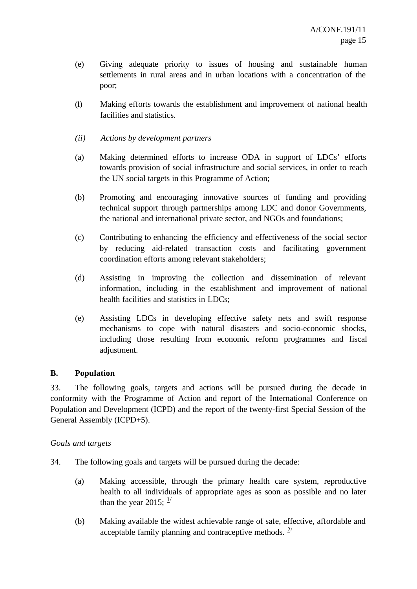- (e) Giving adequate priority to issues of housing and sustainable human settlements in rural areas and in urban locations with a concentration of the poor;
- (f) Making efforts towards the establishment and improvement of national health facilities and statistics.
- *(ii) Actions by development partners*
- (a) Making determined efforts to increase ODA in support of LDCs' efforts towards provision of social infrastructure and social services, in order to reach the UN social targets in this Programme of Action;
- (b) Promoting and encouraging innovative sources of funding and providing technical support through partnerships among LDC and donor Governments, the national and international private sector, and NGOs and foundations;
- (c) Contributing to enhancing the efficiency and effectiveness of the social sector by reducing aid-related transaction costs and facilitating government coordination efforts among relevant stakeholders;
- (d) Assisting in improving the collection and dissemination of relevant information, including in the establishment and improvement of national health facilities and statistics in LDCs;
- (e) Assisting LDCs in developing effective safety nets and swift response mechanisms to cope with natural disasters and socio-economic shocks, including those resulting from economic reform programmes and fiscal adjustment.

# **B. Population**

33. The following goals, targets and actions will be pursued during the decade in conformity with the Programme of Action and report of the International Conference on Population and Development (ICPD) and the report of the twenty-first Special Session of the General Assembly (ICPD+5).

## *Goals and targets*

- 34. The following goals and targets will be pursued during the decade:
	- (a) Making accessible, through the primary health care system, reproductive health to all individuals of appropriate ages as soon as possible and no later than the year 2015;  $1/$
	- (b) Making available the widest achievable range of safe, effective, affordable and acceptable family planning and contraceptive methods.  $2^{7}$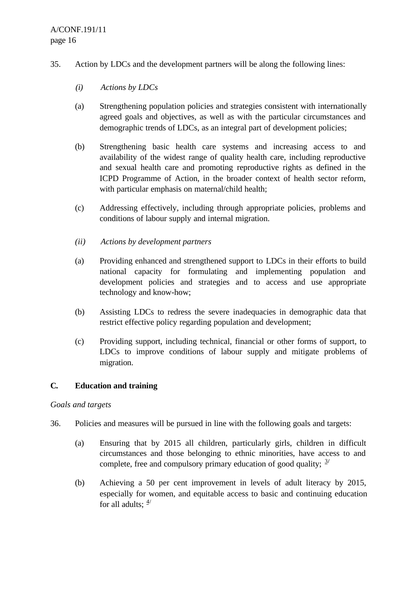- 35. Action by LDCs and the development partners will be along the following lines:
	- *(i) Actions by LDCs*
	- (a) Strengthening population policies and strategies consistent with internationally agreed goals and objectives, as well as with the particular circumstances and demographic trends of LDCs, as an integral part of development policies;
	- (b) Strengthening basic health care systems and increasing access to and availability of the widest range of quality health care, including reproductive and sexual health care and promoting reproductive rights as defined in the ICPD Programme of Action, in the broader context of health sector reform, with particular emphasis on maternal/child health;
	- (c) Addressing effectively, including through appropriate policies, problems and conditions of labour supply and internal migration.
	- *(ii) Actions by development partners*
	- (a) Providing enhanced and strengthened support to LDCs in their efforts to build national capacity for formulating and implementing population and development policies and strategies and to access and use appropriate technology and know-how;
	- (b) Assisting LDCs to redress the severe inadequacies in demographic data that restrict effective policy regarding population and development;
	- (c) Providing support, including technical, financial or other forms of support, to LDCs to improve conditions of labour supply and mitigate problems of migration.

## **C. Education and training**

## *Goals and targets*

- 36. Policies and measures will be pursued in line with the following goals and targets:
	- (a) Ensuring that by 2015 all children, particularly girls, children in difficult circumstances and those belonging to ethnic minorities, have access to and complete, free and compulsory primary education of good quality;  $3^{7}$
	- (b) Achieving a 50 per cent improvement in levels of adult literacy by 2015, especially for women, and equitable access to basic and continuing education for all adults:  $\frac{4}{1}$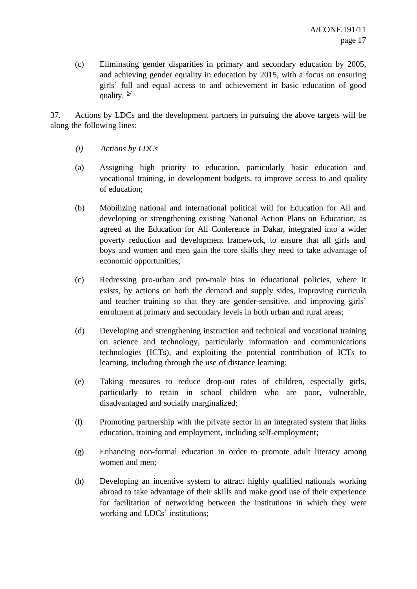(c) Eliminating gender disparities in primary and secondary education by 2005, and achieving gender equality in education by 2015, with a focus on ensuring girls' full and equal access to and achievement in basic education of good quality.  $\frac{5}{4}$ 

37. Actions by LDCs and the development partners in pursuing the above targets will be along the following lines:

- *(i) Actions by LDCs*
- (a) Assigning high priority to education, particularly basic education and vocational training, in development budgets, to improve access to and quality of education;
- (b) Mobilizing national and international political will for Education for All and developing or strengthening existing National Action Plans on Education, as agreed at the Education for All Conference in Dakar, integrated into a wider poverty reduction and development framework, to ensure that all girls and boys and women and men gain the core skills they need to take advantage of economic opportunities;
- (c) Redressing pro-urban and pro-male bias in educational policies, where it exists, by actions on both the demand and supply sides, improving curricula and teacher training so that they are gender-sensitive, and improving girls' enrolment at primary and secondary levels in both urban and rural areas;
- (d) Developing and strengthening instruction and technical and vocational training on science and technology, particularly information and communications technologies (ICTs), and exploiting the potential contribution of ICTs to learning, including through the use of distance learning;
- (e) Taking measures to reduce drop-out rates of children, especially girls, particularly to retain in school children who are poor, vulnerable, disadvantaged and socially marginalized;
- (f) Promoting partnership with the private sector in an integrated system that links education, training and employment, including self-employment;
- (g) Enhancing non-formal education in order to promote adult literacy among women and men;
- (h) Developing an incentive system to attract highly qualified nationals working abroad to take advantage of their skills and make good use of their experience for facilitation of networking between the institutions in which they were working and LDCs' institutions;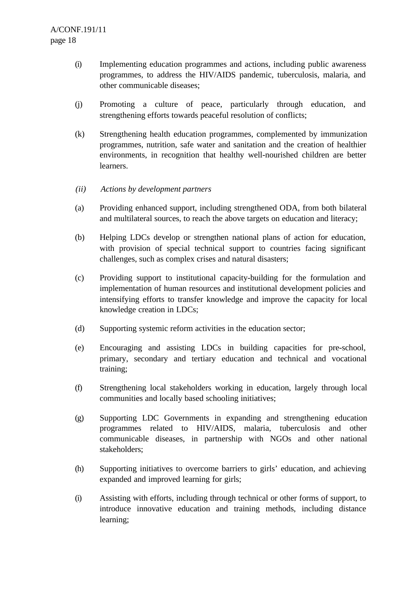- (i) Implementing education programmes and actions, including public awareness programmes, to address the HIV/AIDS pandemic, tuberculosis, malaria, and other communicable diseases;
- (j) Promoting a culture of peace, particularly through education, and strengthening efforts towards peaceful resolution of conflicts;
- (k) Strengthening health education programmes, complemented by immunization programmes, nutrition, safe water and sanitation and the creation of healthier environments, in recognition that healthy well-nourished children are better learners.
- *(ii) Actions by development partners*
- (a) Providing enhanced support, including strengthened ODA, from both bilateral and multilateral sources, to reach the above targets on education and literacy;
- (b) Helping LDCs develop or strengthen national plans of action for education, with provision of special technical support to countries facing significant challenges, such as complex crises and natural disasters;
- (c) Providing support to institutional capacity-building for the formulation and implementation of human resources and institutional development policies and intensifying efforts to transfer knowledge and improve the capacity for local knowledge creation in LDCs;
- (d) Supporting systemic reform activities in the education sector;
- (e) Encouraging and assisting LDCs in building capacities for pre-school, primary, secondary and tertiary education and technical and vocational training;
- (f) Strengthening local stakeholders working in education, largely through local communities and locally based schooling initiatives;
- (g) Supporting LDC Governments in expanding and strengthening education programmes related to HIV/AIDS, malaria, tuberculosis and other communicable diseases, in partnership with NGOs and other national stakeholders;
- (h) Supporting initiatives to overcome barriers to girls' education, and achieving expanded and improved learning for girls;
- (i) Assisting with efforts, including through technical or other forms of support, to introduce innovative education and training methods, including distance learning;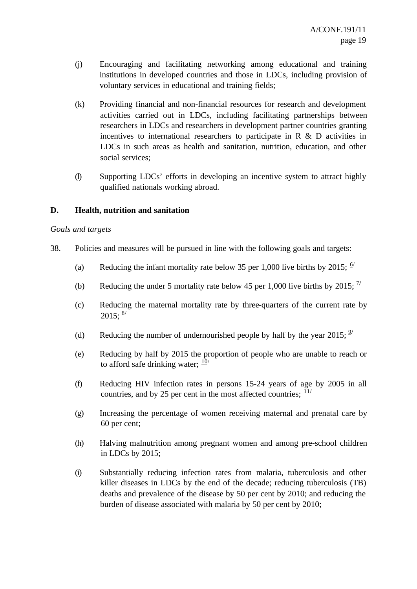- (j) Encouraging and facilitating networking among educational and training institutions in developed countries and those in LDCs, including provision of voluntary services in educational and training fields;
- (k) Providing financial and non-financial resources for research and development activities carried out in LDCs, including facilitating partnerships between researchers in LDCs and researchers in development partner countries granting incentives to international researchers to participate in  $R \& D$  activities in LDCs in such areas as health and sanitation, nutrition, education, and other social services;
- (l) Supporting LDCs' efforts in developing an incentive system to attract highly qualified nationals working abroad.

## **D. Health, nutrition and sanitation**

#### *Goals and targets*

- 38. Policies and measures will be pursued in line with the following goals and targets:
	- (a) Reducing the infant mortality rate below 35 per 1,000 live births by 2015;  $\frac{6}{ }$
	- (b) Reducing the under 5 mortality rate below 45 per 1,000 live births by 2015;  $^{2/}$
	- (c) Reducing the maternal mortality rate by three-quarters of the current rate by  $2015: \frac{8}{1}$
	- (d) Reducing the number of undernourished people by half by the year  $2015$ ;  $\frac{9}{2}$
	- (e) Reducing by half by 2015 the proportion of people who are unable to reach or to afford safe drinking water;  $\frac{10}{10}$
	- (f) Reducing HIV infection rates in persons 15-24 years of age by 2005 in all countries, and by 25 per cent in the most affected countries;  $\frac{11}{1}$
	- (g) Increasing the percentage of women receiving maternal and prenatal care by 60 per cent;
	- (h) Halving malnutrition among pregnant women and among pre-school children in LDCs by 2015;
	- (i) Substantially reducing infection rates from malaria, tuberculosis and other killer diseases in LDCs by the end of the decade; reducing tuberculosis (TB) deaths and prevalence of the disease by 50 per cent by 2010; and reducing the burden of disease associated with malaria by 50 per cent by 2010;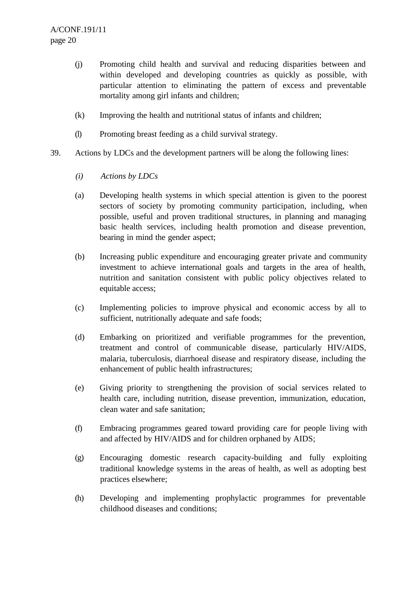- (j) Promoting child health and survival and reducing disparities between and within developed and developing countries as quickly as possible, with particular attention to eliminating the pattern of excess and preventable mortality among girl infants and children;
- (k) Improving the health and nutritional status of infants and children;
- (l) Promoting breast feeding as a child survival strategy.
- 39. Actions by LDCs and the development partners will be along the following lines:
	- *(i) Actions by LDCs*
	- (a) Developing health systems in which special attention is given to the poorest sectors of society by promoting community participation, including, when possible, useful and proven traditional structures, in planning and managing basic health services, including health promotion and disease prevention, bearing in mind the gender aspect;
	- (b) Increasing public expenditure and encouraging greater private and community investment to achieve international goals and targets in the area of health, nutrition and sanitation consistent with public policy objectives related to equitable access;
	- (c) Implementing policies to improve physical and economic access by all to sufficient, nutritionally adequate and safe foods;
	- (d) Embarking on prioritized and verifiable programmes for the prevention, treatment and control of communicable disease, particularly HIV/AIDS, malaria, tuberculosis, diarrhoeal disease and respiratory disease, including the enhancement of public health infrastructures;
	- (e) Giving priority to strengthening the provision of social services related to health care, including nutrition, disease prevention, immunization, education, clean water and safe sanitation;
	- (f) Embracing programmes geared toward providing care for people living with and affected by HIV/AIDS and for children orphaned by AIDS;
	- (g) Encouraging domestic research capacity-building and fully exploiting traditional knowledge systems in the areas of health, as well as adopting best practices elsewhere;
	- (h) Developing and implementing prophylactic programmes for preventable childhood diseases and conditions;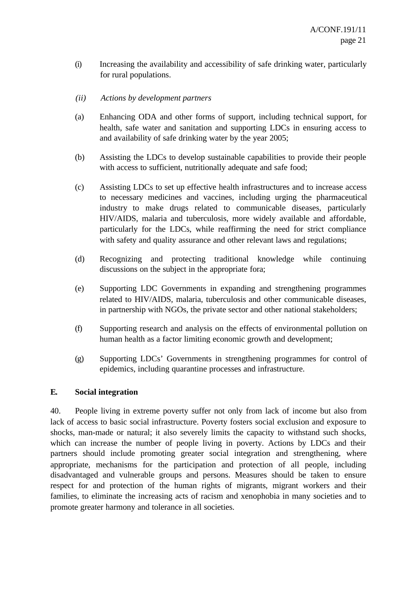- (i) Increasing the availability and accessibility of safe drinking water, particularly for rural populations.
- *(ii) Actions by development partners*
- (a) Enhancing ODA and other forms of support, including technical support, for health, safe water and sanitation and supporting LDCs in ensuring access to and availability of safe drinking water by the year 2005;
- (b) Assisting the LDCs to develop sustainable capabilities to provide their people with access to sufficient, nutritionally adequate and safe food;
- (c) Assisting LDCs to set up effective health infrastructures and to increase access to necessary medicines and vaccines, including urging the pharmaceutical industry to make drugs related to communicable diseases, particularly HIV/AIDS, malaria and tuberculosis, more widely available and affordable, particularly for the LDCs, while reaffirming the need for strict compliance with safety and quality assurance and other relevant laws and regulations;
- (d) Recognizing and protecting traditional knowledge while continuing discussions on the subject in the appropriate fora;
- (e) Supporting LDC Governments in expanding and strengthening programmes related to HIV/AIDS, malaria, tuberculosis and other communicable diseases, in partnership with NGOs, the private sector and other national stakeholders;
- (f) Supporting research and analysis on the effects of environmental pollution on human health as a factor limiting economic growth and development;
- (g) Supporting LDCs' Governments in strengthening programmes for control of epidemics, including quarantine processes and infrastructure.

## **E. Social integration**

40. People living in extreme poverty suffer not only from lack of income but also from lack of access to basic social infrastructure. Poverty fosters social exclusion and exposure to shocks, man-made or natural; it also severely limits the capacity to withstand such shocks, which can increase the number of people living in poverty. Actions by LDCs and their partners should include promoting greater social integration and strengthening, where appropriate, mechanisms for the participation and protection of all people, including disadvantaged and vulnerable groups and persons. Measures should be taken to ensure respect for and protection of the human rights of migrants, migrant workers and their families, to eliminate the increasing acts of racism and xenophobia in many societies and to promote greater harmony and tolerance in all societies.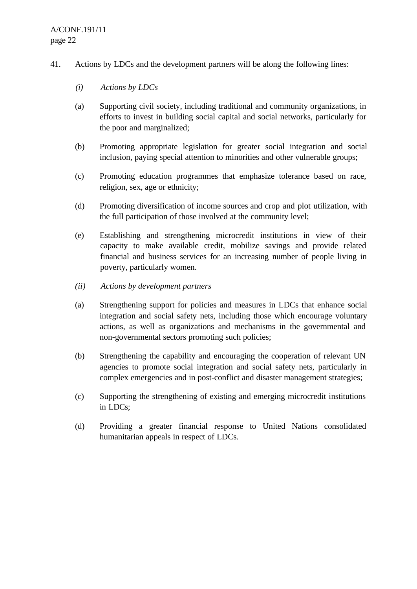- 41. Actions by LDCs and the development partners will be along the following lines:
	- *(i) Actions by LDCs*
	- (a) Supporting civil society, including traditional and community organizations, in efforts to invest in building social capital and social networks, particularly for the poor and marginalized;
	- (b) Promoting appropriate legislation for greater social integration and social inclusion, paying special attention to minorities and other vulnerable groups;
	- (c) Promoting education programmes that emphasize tolerance based on race, religion, sex, age or ethnicity;
	- (d) Promoting diversification of income sources and crop and plot utilization, with the full participation of those involved at the community level;
	- (e) Establishing and strengthening microcredit institutions in view of their capacity to make available credit, mobilize savings and provide related financial and business services for an increasing number of people living in poverty, particularly women.
	- *(ii) Actions by development partners*
	- (a) Strengthening support for policies and measures in LDCs that enhance social integration and social safety nets, including those which encourage voluntary actions, as well as organizations and mechanisms in the governmental and non-governmental sectors promoting such policies;
	- (b) Strengthening the capability and encouraging the cooperation of relevant UN agencies to promote social integration and social safety nets, particularly in complex emergencies and in post-conflict and disaster management strategies;
	- (c) Supporting the strengthening of existing and emerging microcredit institutions in LDCs;
	- (d) Providing a greater financial response to United Nations consolidated humanitarian appeals in respect of LDCs.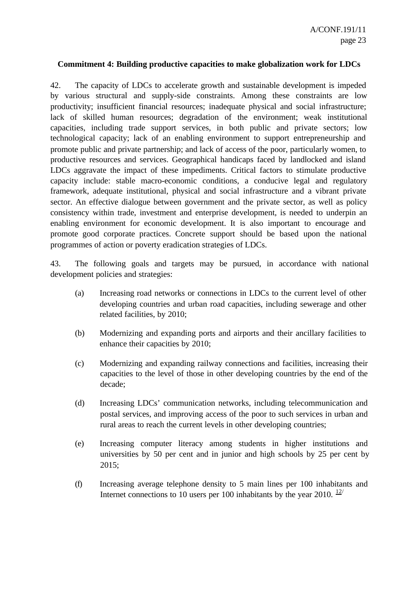## **Commitment 4: Building productive capacities to make globalization work for LDCs**

42. The capacity of LDCs to accelerate growth and sustainable development is impeded by various structural and supply-side constraints. Among these constraints are low productivity; insufficient financial resources; inadequate physical and social infrastructure; lack of skilled human resources; degradation of the environment; weak institutional capacities, including trade support services, in both public and private sectors; low technological capacity; lack of an enabling environment to support entrepreneurship and promote public and private partnership; and lack of access of the poor, particularly women, to productive resources and services. Geographical handicaps faced by landlocked and island LDCs aggravate the impact of these impediments. Critical factors to stimulate productive capacity include: stable macro-economic conditions, a conducive legal and regulatory framework, adequate institutional, physical and social infrastructure and a vibrant private sector. An effective dialogue between government and the private sector, as well as policy consistency within trade, investment and enterprise development, is needed to underpin an enabling environment for economic development. It is also important to encourage and promote good corporate practices. Concrete support should be based upon the national programmes of action or poverty eradication strategies of LDCs.

43. The following goals and targets may be pursued, in accordance with national development policies and strategies:

- (a) Increasing road networks or connections in LDCs to the current level of other developing countries and urban road capacities, including sewerage and other related facilities, by 2010;
- (b) Modernizing and expanding ports and airports and their ancillary facilities to enhance their capacities by 2010;
- (c) Modernizing and expanding railway connections and facilities, increasing their capacities to the level of those in other developing countries by the end of the decade;
- (d) Increasing LDCs' communication networks, including telecommunication and postal services, and improving access of the poor to such services in urban and rural areas to reach the current levels in other developing countries;
- (e) Increasing computer literacy among students in higher institutions and universities by 50 per cent and in junior and high schools by 25 per cent by  $2015$ ;
- (f) Increasing average telephone density to 5 main lines per 100 inhabitants and Internet connections to 10 users per 100 inhabitants by the year 2010.  $\frac{12}{1}$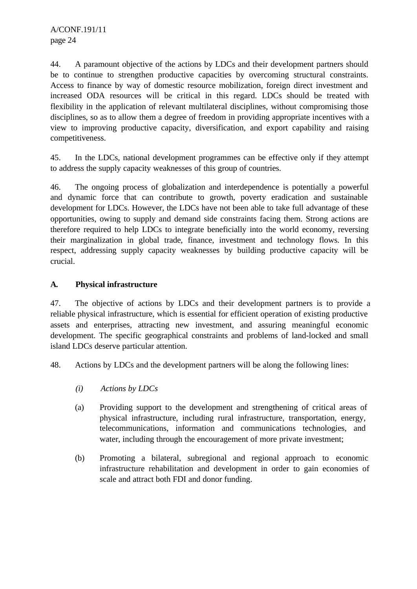44. A paramount objective of the actions by LDCs and their development partners should be to continue to strengthen productive capacities by overcoming structural constraints. Access to finance by way of domestic resource mobilization, foreign direct investment and increased ODA resources will be critical in this regard. LDCs should be treated with flexibility in the application of relevant multilateral disciplines, without compromising those disciplines, so as to allow them a degree of freedom in providing appropriate incentives with a view to improving productive capacity, diversification, and export capability and raising competitiveness.

45. In the LDCs, national development programmes can be effective only if they attempt to address the supply capacity weaknesses of this group of countries.

46. The ongoing process of globalization and interdependence is potentially a powerful and dynamic force that can contribute to growth, poverty eradication and sustainable development for LDCs. However, the LDCs have not been able to take full advantage of these opportunities, owing to supply and demand side constraints facing them. Strong actions are therefore required to help LDCs to integrate beneficially into the world economy, reversing their marginalization in global trade, finance, investment and technology flows. In this respect, addressing supply capacity weaknesses by building productive capacity will be crucial.

## **A. Physical infrastructure**

47. The objective of actions by LDCs and their development partners is to provide a reliable physical infrastructure, which is essential for efficient operation of existing productive assets and enterprises, attracting new investment, and assuring meaningful economic development. The specific geographical constraints and problems of land-locked and small island LDCs deserve particular attention.

48. Actions by LDCs and the development partners will be along the following lines:

- *(i) Actions by LDCs*
- (a) Providing support to the development and strengthening of critical areas of physical infrastructure, including rural infrastructure, transportation, energy, telecommunications, information and communications technologies, and water, including through the encouragement of more private investment;
- (b) Promoting a bilateral, subregional and regional approach to economic infrastructure rehabilitation and development in order to gain economies of scale and attract both FDI and donor funding.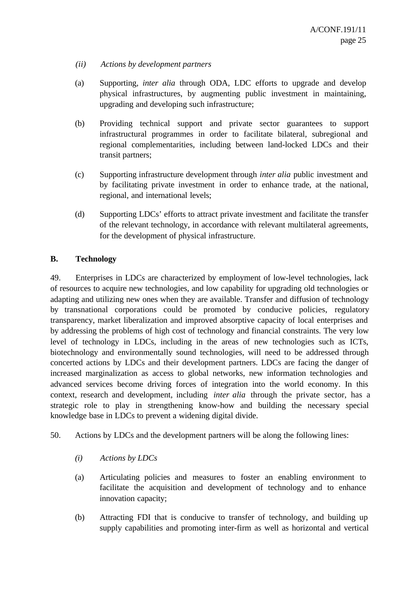- *(ii) Actions by development partners*
- (a) Supporting, *inter alia* through ODA, LDC efforts to upgrade and develop physical infrastructures, by augmenting public investment in maintaining, upgrading and developing such infrastructure;
- (b) Providing technical support and private sector guarantees to support infrastructural programmes in order to facilitate bilateral, subregional and regional complementarities, including between land-locked LDCs and their transit partners;
- (c) Supporting infrastructure development through *inter alia* public investment and by facilitating private investment in order to enhance trade, at the national, regional, and international levels;
- (d) Supporting LDCs' efforts to attract private investment and facilitate the transfer of the relevant technology, in accordance with relevant multilateral agreements, for the development of physical infrastructure.

## **B. Technology**

49. Enterprises in LDCs are characterized by employment of low-level technologies, lack of resources to acquire new technologies, and low capability for upgrading old technologies or adapting and utilizing new ones when they are available. Transfer and diffusion of technology by transnational corporations could be promoted by conducive policies, regulatory transparency, market liberalization and improved absorptive capacity of local enterprises and by addressing the problems of high cost of technology and financial constraints. The very low level of technology in LDCs, including in the areas of new technologies such as ICTs, biotechnology and environmentally sound technologies, will need to be addressed through concerted actions by LDCs and their development partners. LDCs are facing the danger of increased marginalization as access to global networks, new information technologies and advanced services become driving forces of integration into the world economy. In this context, research and development, including *inter alia* through the private sector, has a strategic role to play in strengthening know-how and building the necessary special knowledge base in LDCs to prevent a widening digital divide.

- 50. Actions by LDCs and the development partners will be along the following lines:
	- *(i) Actions by LDCs*
	- (a) Articulating policies and measures to foster an enabling environment to facilitate the acquisition and development of technology and to enhance innovation capacity;
	- (b) Attracting FDI that is conducive to transfer of technology, and building up supply capabilities and promoting inter-firm as well as horizontal and vertical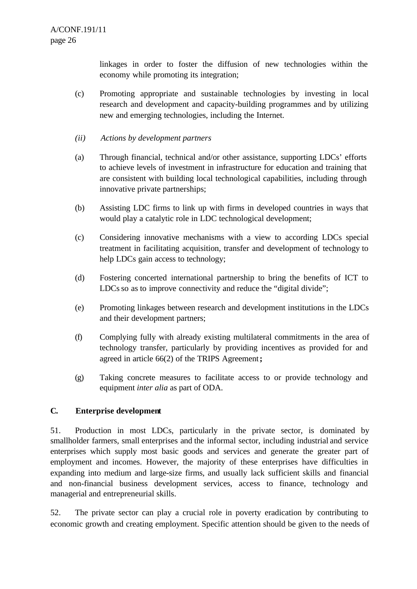linkages in order to foster the diffusion of new technologies within the economy while promoting its integration;

- (c) Promoting appropriate and sustainable technologies by investing in local research and development and capacity-building programmes and by utilizing new and emerging technologies, including the Internet.
- *(ii) Actions by development partners*
- (a) Through financial, technical and/or other assistance, supporting LDCs' efforts to achieve levels of investment in infrastructure for education and training that are consistent with building local technological capabilities, including through innovative private partnerships;
- (b) Assisting LDC firms to link up with firms in developed countries in ways that would play a catalytic role in LDC technological development;
- (c) Considering innovative mechanisms with a view to according LDCs special treatment in facilitating acquisition, transfer and development of technology to help LDCs gain access to technology;
- (d) Fostering concerted international partnership to bring the benefits of ICT to LDCs so as to improve connectivity and reduce the "digital divide";
- (e) Promoting linkages between research and development institutions in the LDCs and their development partners;
- (f) Complying fully with already existing multilateral commitments in the area of technology transfer, particularly by providing incentives as provided for and agreed in article 66(2) of the TRIPS Agreement**;**
- (g) Taking concrete measures to facilitate access to or provide technology and equipment *inter alia* as part of ODA.

## **C. Enterprise development**

51. Production in most LDCs, particularly in the private sector, is dominated by smallholder farmers, small enterprises and the informal sector, including industrial and service enterprises which supply most basic goods and services and generate the greater part of employment and incomes. However, the majority of these enterprises have difficulties in expanding into medium and large-size firms, and usually lack sufficient skills and financial and non-financial business development services, access to finance, technology and managerial and entrepreneurial skills.

52. The private sector can play a crucial role in poverty eradication by contributing to economic growth and creating employment. Specific attention should be given to the needs of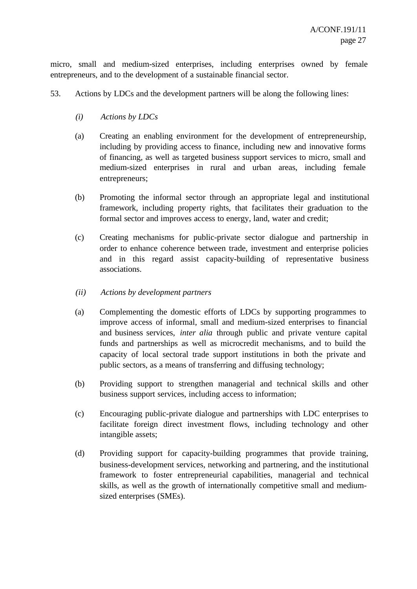micro, small and medium-sized enterprises, including enterprises owned by female entrepreneurs, and to the development of a sustainable financial sector.

- 53. Actions by LDCs and the development partners will be along the following lines:
	- *(i) Actions by LDCs*
	- (a) Creating an enabling environment for the development of entrepreneurship, including by providing access to finance, including new and innovative forms of financing, as well as targeted business support services to micro, small and medium-sized enterprises in rural and urban areas, including female entrepreneurs;
	- (b) Promoting the informal sector through an appropriate legal and institutional framework, including property rights, that facilitates their graduation to the formal sector and improves access to energy, land, water and credit;
	- (c) Creating mechanisms for public-private sector dialogue and partnership in order to enhance coherence between trade, investment and enterprise policies and in this regard assist capacity-building of representative business associations.
	- *(ii) Actions by development partners*
	- (a) Complementing the domestic efforts of LDCs by supporting programmes to improve access of informal, small and medium-sized enterprises to financial and business services, *inter alia* through public and private venture capital funds and partnerships as well as microcredit mechanisms, and to build the capacity of local sectoral trade support institutions in both the private and public sectors, as a means of transferring and diffusing technology;
	- (b) Providing support to strengthen managerial and technical skills and other business support services, including access to information;
	- (c) Encouraging public-private dialogue and partnerships with LDC enterprises to facilitate foreign direct investment flows, including technology and other intangible assets;
	- (d) Providing support for capacity-building programmes that provide training, business-development services, networking and partnering, and the institutional framework to foster entrepreneurial capabilities, managerial and technical skills, as well as the growth of internationally competitive small and mediumsized enterprises (SMEs).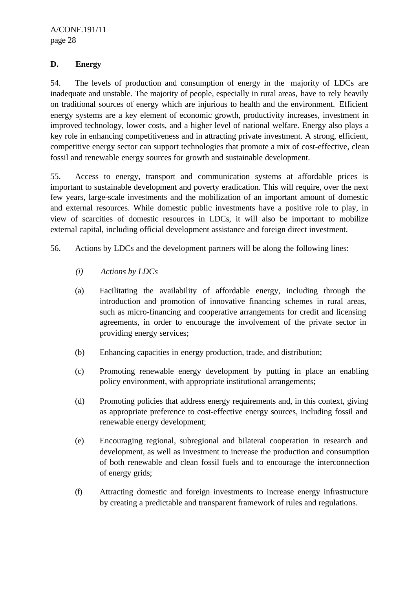## **D. Energy**

54. The levels of production and consumption of energy in the majority of LDCs are inadequate and unstable. The majority of people, especially in rural areas, have to rely heavily on traditional sources of energy which are injurious to health and the environment. Efficient energy systems are a key element of economic growth, productivity increases, investment in improved technology, lower costs, and a higher level of national welfare. Energy also plays a key role in enhancing competitiveness and in attracting private investment. A strong, efficient, competitive energy sector can support technologies that promote a mix of cost-effective, clean fossil and renewable energy sources for growth and sustainable development.

55. Access to energy, transport and communication systems at affordable prices is important to sustainable development and poverty eradication. This will require, over the next few years, large-scale investments and the mobilization of an important amount of domestic and external resources. While domestic public investments have a positive role to play, in view of scarcities of domestic resources in LDCs, it will also be important to mobilize external capital, including official development assistance and foreign direct investment.

- 56. Actions by LDCs and the development partners will be along the following lines:
	- *(i) Actions by LDCs*
	- (a) Facilitating the availability of affordable energy, including through the introduction and promotion of innovative financing schemes in rural areas, such as micro-financing and cooperative arrangements for credit and licensing agreements, in order to encourage the involvement of the private sector in providing energy services;
	- (b) Enhancing capacities in energy production, trade, and distribution;
	- (c) Promoting renewable energy development by putting in place an enabling policy environment, with appropriate institutional arrangements;
	- (d) Promoting policies that address energy requirements and, in this context, giving as appropriate preference to cost-effective energy sources, including fossil and renewable energy development;
	- (e) Encouraging regional, subregional and bilateral cooperation in research and development, as well as investment to increase the production and consumption of both renewable and clean fossil fuels and to encourage the interconnection of energy grids;
	- (f) Attracting domestic and foreign investments to increase energy infrastructure by creating a predictable and transparent framework of rules and regulations.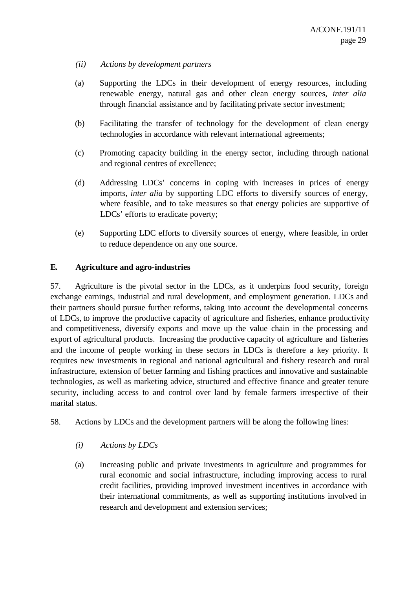- *(ii) Actions by development partners*
- (a) Supporting the LDCs in their development of energy resources, including renewable energy, natural gas and other clean energy sources, *inter alia* through financial assistance and by facilitating private sector investment;
- (b) Facilitating the transfer of technology for the development of clean energy technologies in accordance with relevant international agreements;
- (c) Promoting capacity building in the energy sector, including through national and regional centres of excellence;
- (d) Addressing LDCs' concerns in coping with increases in prices of energy imports, *inter alia* by supporting LDC efforts to diversify sources of energy, where feasible, and to take measures so that energy policies are supportive of LDCs' efforts to eradicate poverty;
- (e) Supporting LDC efforts to diversify sources of energy, where feasible, in order to reduce dependence on any one source.

## **E. Agriculture and agro-industries**

57. Agriculture is the pivotal sector in the LDCs, as it underpins food security, foreign exchange earnings, industrial and rural development, and employment generation. LDCs and their partners should pursue further reforms, taking into account the developmental concerns of LDCs, to improve the productive capacity of agriculture and fisheries, enhance productivity and competitiveness, diversify exports and move up the value chain in the processing and export of agricultural products. Increasing the productive capacity of agriculture and fisheries and the income of people working in these sectors in LDCs is therefore a key priority. It requires new investments in regional and national agricultural and fishery research and rural infrastructure, extension of better farming and fishing practices and innovative and sustainable technologies, as well as marketing advice, structured and effective finance and greater tenure security, including access to and control over land by female farmers irrespective of their marital status.

- 58. Actions by LDCs and the development partners will be along the following lines:
	- *(i) Actions by LDCs*
	- (a) Increasing public and private investments in agriculture and programmes for rural economic and social infrastructure, including improving access to rural credit facilities, providing improved investment incentives in accordance with their international commitments, as well as supporting institutions involved in research and development and extension services;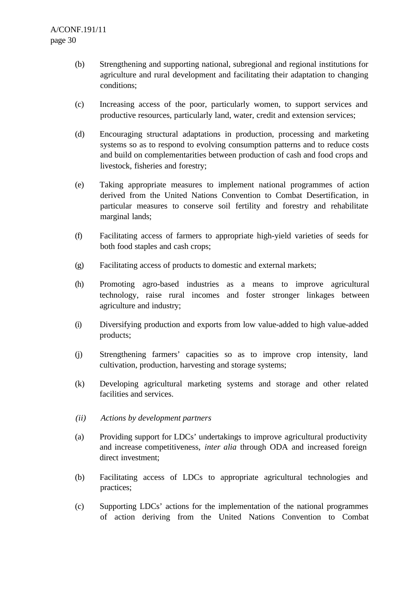- (b) Strengthening and supporting national, subregional and regional institutions for agriculture and rural development and facilitating their adaptation to changing conditions;
- (c) Increasing access of the poor, particularly women, to support services and productive resources, particularly land, water, credit and extension services;
- (d) Encouraging structural adaptations in production, processing and marketing systems so as to respond to evolving consumption patterns and to reduce costs and build on complementarities between production of cash and food crops and livestock, fisheries and forestry;
- (e) Taking appropriate measures to implement national programmes of action derived from the United Nations Convention to Combat Desertification, in particular measures to conserve soil fertility and forestry and rehabilitate marginal lands;
- (f) Facilitating access of farmers to appropriate high-yield varieties of seeds for both food staples and cash crops;
- (g) Facilitating access of products to domestic and external markets;
- (h) Promoting agro-based industries as a means to improve agricultural technology, raise rural incomes and foster stronger linkages between agriculture and industry;
- (i) Diversifying production and exports from low value-added to high value-added products;
- (j) Strengthening farmers' capacities so as to improve crop intensity, land cultivation, production, harvesting and storage systems;
- (k) Developing agricultural marketing systems and storage and other related facilities and services.
- *(ii) Actions by development partners*
- (a) Providing support for LDCs' undertakings to improve agricultural productivity and increase competitiveness, *inter alia* through ODA and increased foreign direct investment;
- (b) Facilitating access of LDCs to appropriate agricultural technologies and practices;
- (c) Supporting LDCs' actions for the implementation of the national programmes of action deriving from the United Nations Convention to Combat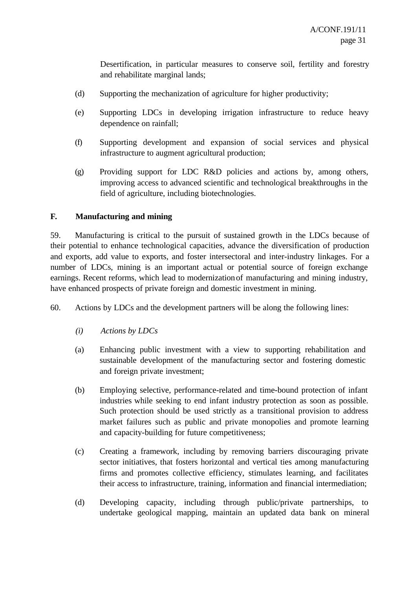Desertification, in particular measures to conserve soil, fertility and forestry and rehabilitate marginal lands;

- (d) Supporting the mechanization of agriculture for higher productivity;
- (e) Supporting LDCs in developing irrigation infrastructure to reduce heavy dependence on rainfall;
- (f) Supporting development and expansion of social services and physical infrastructure to augment agricultural production;
- (g) Providing support for LDC R&D policies and actions by, among others, improving access to advanced scientific and technological breakthroughs in the field of agriculture, including biotechnologies.

## **F. Manufacturing and mining**

59. Manufacturing is critical to the pursuit of sustained growth in the LDCs because of their potential to enhance technological capacities, advance the diversification of production and exports, add value to exports, and foster intersectoral and inter-industry linkages. For a number of LDCs, mining is an important actual or potential source of foreign exchange earnings. Recent reforms, which lead to modernizationof manufacturing and mining industry, have enhanced prospects of private foreign and domestic investment in mining.

- 60. Actions by LDCs and the development partners will be along the following lines:
	- *(i) Actions by LDCs*
	- (a) Enhancing public investment with a view to supporting rehabilitation and sustainable development of the manufacturing sector and fostering domestic and foreign private investment;
	- (b) Employing selective, performance-related and time-bound protection of infant industries while seeking to end infant industry protection as soon as possible. Such protection should be used strictly as a transitional provision to address market failures such as public and private monopolies and promote learning and capacity-building for future competitiveness;
	- (c) Creating a framework, including by removing barriers discouraging private sector initiatives, that fosters horizontal and vertical ties among manufacturing firms and promotes collective efficiency, stimulates learning, and facilitates their access to infrastructure, training, information and financial intermediation;
	- (d) Developing capacity, including through public/private partnerships, to undertake geological mapping, maintain an updated data bank on mineral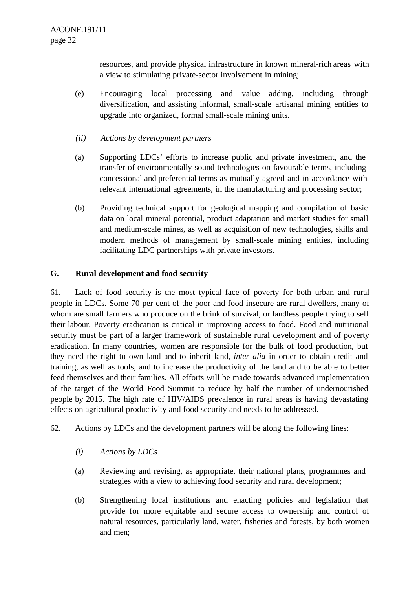resources, and provide physical infrastructure in known mineral-rich areas with a view to stimulating private-sector involvement in mining;

- (e) Encouraging local processing and value adding, including through diversification, and assisting informal, small-scale artisanal mining entities to upgrade into organized, formal small-scale mining units.
- *(ii) Actions by development partners*
- (a) Supporting LDCs' efforts to increase public and private investment, and the transfer of environmentally sound technologies on favourable terms, including concessional and preferential terms as mutually agreed and in accordance with relevant international agreements, in the manufacturing and processing sector;
- (b) Providing technical support for geological mapping and compilation of basic data on local mineral potential, product adaptation and market studies for small and medium-scale mines, as well as acquisition of new technologies, skills and modern methods of management by small-scale mining entities, including facilitating LDC partnerships with private investors.

## **G. Rural development and food security**

61. Lack of food security is the most typical face of poverty for both urban and rural people in LDCs. Some 70 per cent of the poor and food-insecure are rural dwellers, many of whom are small farmers who produce on the brink of survival, or landless people trying to sell their labour. Poverty eradication is critical in improving access to food. Food and nutritional security must be part of a larger framework of sustainable rural development and of poverty eradication. In many countries, women are responsible for the bulk of food production, but they need the right to own land and to inherit land, *inter alia* in order to obtain credit and training, as well as tools, and to increase the productivity of the land and to be able to better feed themselves and their families. All efforts will be made towards advanced implementation of the target of the World Food Summit to reduce by half the number of undernourished people by 2015. The high rate of HIV/AIDS prevalence in rural areas is having devastating effects on agricultural productivity and food security and needs to be addressed.

62. Actions by LDCs and the development partners will be along the following lines:

- *(i) Actions by LDCs*
- (a) Reviewing and revising, as appropriate, their national plans, programmes and strategies with a view to achieving food security and rural development;
- (b) Strengthening local institutions and enacting policies and legislation that provide for more equitable and secure access to ownership and control of natural resources, particularly land, water, fisheries and forests, by both women and men;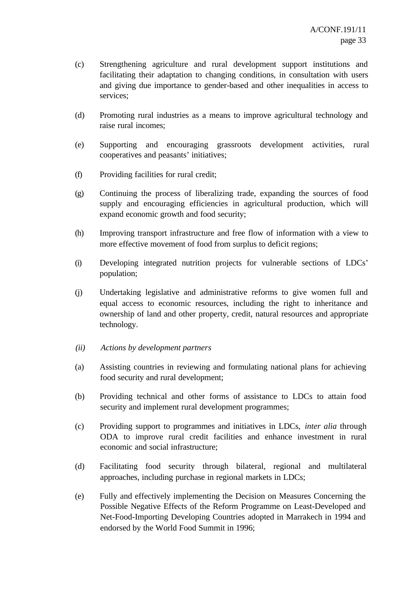- (c) Strengthening agriculture and rural development support institutions and facilitating their adaptation to changing conditions, in consultation with users and giving due importance to gender-based and other inequalities in access to services;
- (d) Promoting rural industries as a means to improve agricultural technology and raise rural incomes;
- (e) Supporting and encouraging grassroots development activities, rural cooperatives and peasants' initiatives;
- (f) Providing facilities for rural credit;
- (g) Continuing the process of liberalizing trade, expanding the sources of food supply and encouraging efficiencies in agricultural production, which will expand economic growth and food security;
- (h) Improving transport infrastructure and free flow of information with a view to more effective movement of food from surplus to deficit regions;
- (i) Developing integrated nutrition projects for vulnerable sections of LDCs' population;
- (j) Undertaking legislative and administrative reforms to give women full and equal access to economic resources, including the right to inheritance and ownership of land and other property, credit, natural resources and appropriate technology.
- *(ii) Actions by development partners*
- (a) Assisting countries in reviewing and formulating national plans for achieving food security and rural development;
- (b) Providing technical and other forms of assistance to LDCs to attain food security and implement rural development programmes;
- (c) Providing support to programmes and initiatives in LDCs, *inter alia* through ODA to improve rural credit facilities and enhance investment in rural economic and social infrastructure;
- (d) Facilitating food security through bilateral, regional and multilateral approaches, including purchase in regional markets in LDCs;
- (e) Fully and effectively implementing the Decision on Measures Concerning the Possible Negative Effects of the Reform Programme on Least-Developed and Net-Food-Importing Developing Countries adopted in Marrakech in 1994 and endorsed by the World Food Summit in 1996;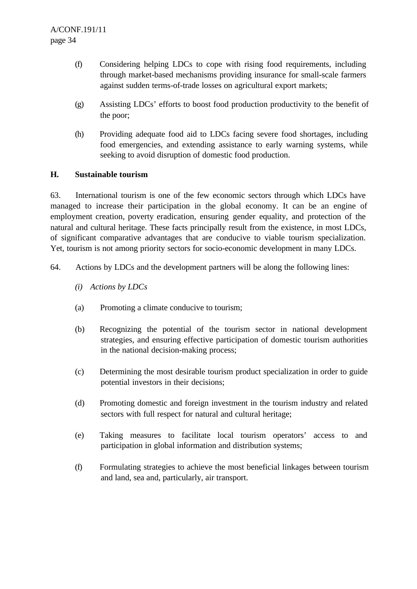- (f) Considering helping LDCs to cope with rising food requirements, including through market-based mechanisms providing insurance for small-scale farmers against sudden terms-of-trade losses on agricultural export markets;
- (g) Assisting LDCs' efforts to boost food production productivity to the benefit of the poor;
- (h) Providing adequate food aid to LDCs facing severe food shortages, including food emergencies, and extending assistance to early warning systems, while seeking to avoid disruption of domestic food production.

## **H. Sustainable tourism**

63. International tourism is one of the few economic sectors through which LDCs have managed to increase their participation in the global economy. It can be an engine of employment creation, poverty eradication, ensuring gender equality, and protection of the natural and cultural heritage. These facts principally result from the existence, in most LDCs, of significant comparative advantages that are conducive to viable tourism specialization. Yet, tourism is not among priority sectors for socio-economic development in many LDCs.

- 64. Actions by LDCs and the development partners will be along the following lines:
	- *(i) Actions by LDCs*
	- (a) Promoting a climate conducive to tourism;
	- (b) Recognizing the potential of the tourism sector in national development strategies, and ensuring effective participation of domestic tourism authorities in the national decision-making process;
	- (c) Determining the most desirable tourism product specialization in order to guide potential investors in their decisions;
	- (d) Promoting domestic and foreign investment in the tourism industry and related sectors with full respect for natural and cultural heritage;
	- (e) Taking measures to facilitate local tourism operators' access to and participation in global information and distribution systems;
	- (f) Formulating strategies to achieve the most beneficial linkages between tourism and land, sea and, particularly, air transport.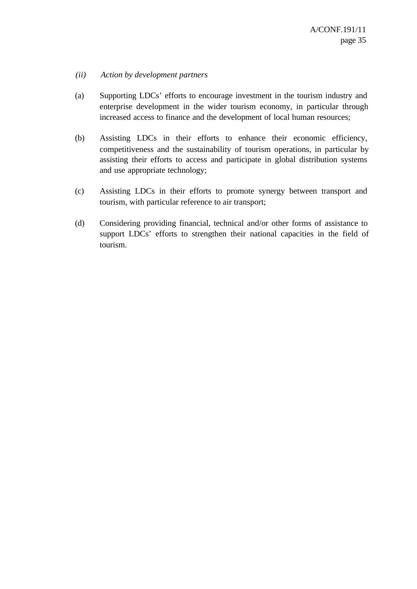- *(ii) Action by development partners*
- (a) Supporting LDCs' efforts to encourage investment in the tourism industry and enterprise development in the wider tourism economy, in particular through increased access to finance and the development of local human resources;
- (b) Assisting LDCs in their efforts to enhance their economic efficiency, competitiveness and the sustainability of tourism operations, in particular by assisting their efforts to access and participate in global distribution systems and use appropriate technology;
- (c) Assisting LDCs in their efforts to promote synergy between transport and tourism, with particular reference to air transport;
- (d) Considering providing financial, technical and/or other forms of assistance to support LDCs' efforts to strengthen their national capacities in the field of tourism.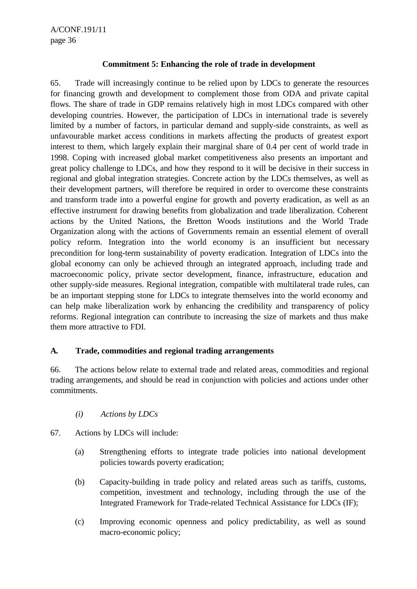#### **Commitment 5: Enhancing the role of trade in development**

65. Trade will increasingly continue to be relied upon by LDCs to generate the resources for financing growth and development to complement those from ODA and private capital flows. The share of trade in GDP remains relatively high in most LDCs compared with other developing countries. However, the participation of LDCs in international trade is severely limited by a number of factors, in particular demand and supply-side constraints, as well as unfavourable market access conditions in markets affecting the products of greatest export interest to them, which largely explain their marginal share of 0.4 per cent of world trade in 1998. Coping with increased global market competitiveness also presents an important and great policy challenge to LDCs, and how they respond to it will be decisive in their success in regional and global integration strategies. Concrete action by the LDCs themselves, as well as their development partners, will therefore be required in order to overcome these constraints and transform trade into a powerful engine for growth and poverty eradication, as well as an effective instrument for drawing benefits from globalization and trade liberalization. Coherent actions by the United Nations, the Bretton Woods institutions and the World Trade Organization along with the actions of Governments remain an essential element of overall policy reform. Integration into the world economy is an insufficient but necessary precondition for long-term sustainability of poverty eradication. Integration of LDCs into the global economy can only be achieved through an integrated approach, including trade and macroeconomic policy, private sector development, finance, infrastructure, education and other supply-side measures. Regional integration, compatible with multilateral trade rules, can be an important stepping stone for LDCs to integrate themselves into the world economy and can help make liberalization work by enhancing the credibility and transparency of policy reforms. Regional integration can contribute to increasing the size of markets and thus make them more attractive to FDI.

# **A. Trade, commodities and regional trading arrangements**

66. The actions below relate to external trade and related areas, commodities and regional trading arrangements, and should be read in conjunction with policies and actions under other commitments.

- *(i) Actions by LDCs*
- 67. Actions by LDCs will include:
	- (a) Strengthening efforts to integrate trade policies into national development policies towards poverty eradication;
	- (b) Capacity-building in trade policy and related areas such as tariffs, customs, competition, investment and technology, including through the use of the Integrated Framework for Trade-related Technical Assistance for LDCs (IF);
	- (c) Improving economic openness and policy predictability, as well as sound macro-economic policy;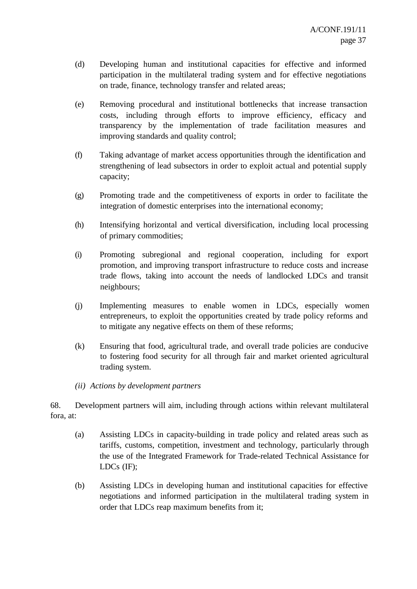- (d) Developing human and institutional capacities for effective and informed participation in the multilateral trading system and for effective negotiations on trade, finance, technology transfer and related areas;
- (e) Removing procedural and institutional bottlenecks that increase transaction costs, including through efforts to improve efficiency, efficacy and transparency by the implementation of trade facilitation measures and improving standards and quality control;
- (f) Taking advantage of market access opportunities through the identification and strengthening of lead subsectors in order to exploit actual and potential supply capacity;
- (g) Promoting trade and the competitiveness of exports in order to facilitate the integration of domestic enterprises into the international economy;
- (h) Intensifying horizontal and vertical diversification, including local processing of primary commodities;
- (i) Promoting subregional and regional cooperation, including for export promotion, and improving transport infrastructure to reduce costs and increase trade flows, taking into account the needs of landlocked LDCs and transit neighbours;
- (j) Implementing measures to enable women in LDCs, especially women entrepreneurs, to exploit the opportunities created by trade policy reforms and to mitigate any negative effects on them of these reforms;
- (k) Ensuring that food, agricultural trade, and overall trade policies are conducive to fostering food security for all through fair and market oriented agricultural trading system.
- *(ii) Actions by development partners*

68. Development partners will aim, including through actions within relevant multilateral fora, at:

- (a) Assisting LDCs in capacity-building in trade policy and related areas such as tariffs, customs, competition, investment and technology, particularly through the use of the Integrated Framework for Trade-related Technical Assistance for LDCs (IF);
- (b) Assisting LDCs in developing human and institutional capacities for effective negotiations and informed participation in the multilateral trading system in order that LDCs reap maximum benefits from it;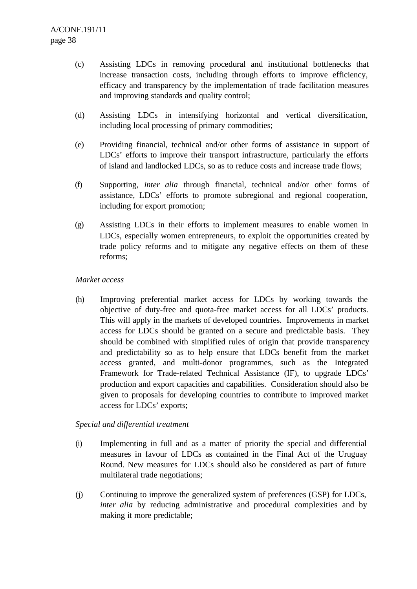- (c) Assisting LDCs in removing procedural and institutional bottlenecks that increase transaction costs, including through efforts to improve efficiency, efficacy and transparency by the implementation of trade facilitation measures and improving standards and quality control;
- (d) Assisting LDCs in intensifying horizontal and vertical diversification, including local processing of primary commodities;
- (e) Providing financial, technical and/or other forms of assistance in support of LDCs' efforts to improve their transport infrastructure, particularly the efforts of island and landlocked LDCs, so as to reduce costs and increase trade flows;
- (f) Supporting, *inter alia* through financial, technical and/or other forms of assistance, LDCs' efforts to promote subregional and regional cooperation, including for export promotion;
- (g) Assisting LDCs in their efforts to implement measures to enable women in LDCs, especially women entrepreneurs, to exploit the opportunities created by trade policy reforms and to mitigate any negative effects on them of these reforms;

## *Market access*

(h) Improving preferential market access for LDCs by working towards the objective of duty-free and quota-free market access for all LDCs' products. This will apply in the markets of developed countries. Improvements in market access for LDCs should be granted on a secure and predictable basis. They should be combined with simplified rules of origin that provide transparency and predictability so as to help ensure that LDCs benefit from the market access granted, and multi-donor programmes, such as the Integrated Framework for Trade-related Technical Assistance (IF), to upgrade LDCs' production and export capacities and capabilities. Consideration should also be given to proposals for developing countries to contribute to improved market access for LDCs' exports;

## *Special and differential treatment*

- (i) Implementing in full and as a matter of priority the special and differential measures in favour of LDCs as contained in the Final Act of the Uruguay Round. New measures for LDCs should also be considered as part of future multilateral trade negotiations;
- (j) Continuing to improve the generalized system of preferences (GSP) for LDCs, *inter alia* by reducing administrative and procedural complexities and by making it more predictable;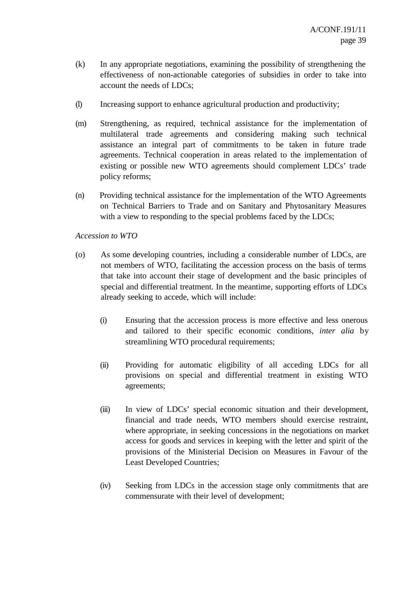- (k) In any appropriate negotiations, examining the possibility of strengthening the effectiveness of non-actionable categories of subsidies in order to take into account the needs of LDCs;
- (l) Increasing support to enhance agricultural production and productivity;
- (m) Strengthening, as required, technical assistance for the implementation of multilateral trade agreements and considering making such technical assistance an integral part of commitments to be taken in future trade agreements. Technical cooperation in areas related to the implementation of existing or possible new WTO agreements should complement LDCs' trade policy reforms;
- (n) Providing technical assistance for the implementation of the WTO Agreements on Technical Barriers to Trade and on Sanitary and Phytosanitary Measures with a view to responding to the special problems faced by the LDCs;

## *Accession to WTO*

- (o) As some developing countries, including a considerable number of LDCs, are not members of WTO, facilitating the accession process on the basis of terms that take into account their stage of development and the basic principles of special and differential treatment. In the meantime, supporting efforts of LDCs already seeking to accede, which will include:
	- (i) Ensuring that the accession process is more effective and less onerous and tailored to their specific economic conditions, *inter alia* by streamlining WTO procedural requirements;
	- (ii) Providing for automatic eligibility of all acceding LDCs for all provisions on special and differential treatment in existing WTO agreements;
	- (iii) In view of LDCs' special economic situation and their development, financial and trade needs, WTO members should exercise restraint, where appropriate, in seeking concessions in the negotiations on market access for goods and services in keeping with the letter and spirit of the provisions of the Ministerial Decision on Measures in Favour of the Least Developed Countries;
	- (iv) Seeking from LDCs in the accession stage only commitments that are commensurate with their level of development;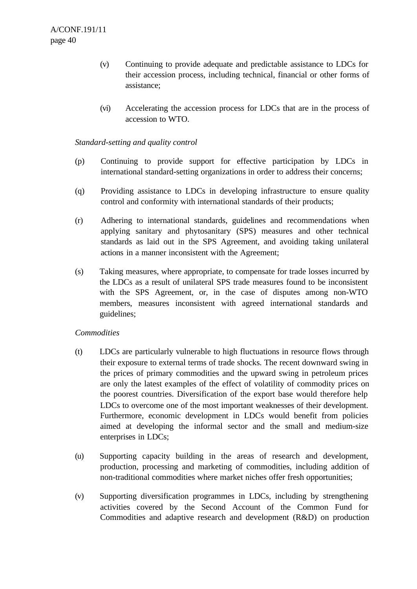- (v) Continuing to provide adequate and predictable assistance to LDCs for their accession process, including technical, financial or other forms of assistance;
- (vi) Accelerating the accession process for LDCs that are in the process of accession to WTO.

#### *Standard-setting and quality control*

- (p) Continuing to provide support for effective participation by LDCs in international standard-setting organizations in order to address their concerns;
- (q) Providing assistance to LDCs in developing infrastructure to ensure quality control and conformity with international standards of their products;
- (r) Adhering to international standards, guidelines and recommendations when applying sanitary and phytosanitary (SPS) measures and other technical standards as laid out in the SPS Agreement, and avoiding taking unilateral actions in a manner inconsistent with the Agreement;
- (s) Taking measures, where appropriate, to compensate for trade losses incurred by the LDCs as a result of unilateral SPS trade measures found to be inconsistent with the SPS Agreement, or, in the case of disputes among non-WTO members, measures inconsistent with agreed international standards and guidelines;

## *Commodities*

- (t) LDCs are particularly vulnerable to high fluctuations in resource flows through their exposure to external terms of trade shocks. The recent downward swing in the prices of primary commodities and the upward swing in petroleum prices are only the latest examples of the effect of volatility of commodity prices on the poorest countries. Diversification of the export base would therefore help LDCs to overcome one of the most important weaknesses of their development. Furthermore, economic development in LDCs would benefit from policies aimed at developing the informal sector and the small and medium-size enterprises in LDCs;
- (u) Supporting capacity building in the areas of research and development, production, processing and marketing of commodities, including addition of non-traditional commodities where market niches offer fresh opportunities;
- (v) Supporting diversification programmes in LDCs, including by strengthening activities covered by the Second Account of the Common Fund for Commodities and adaptive research and development (R&D) on production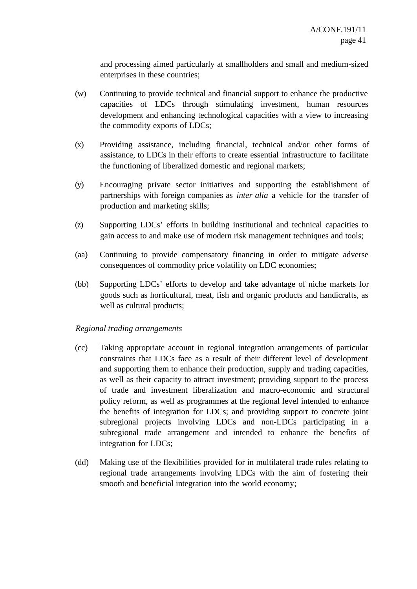and processing aimed particularly at smallholders and small and medium-sized enterprises in these countries;

- (w) Continuing to provide technical and financial support to enhance the productive capacities of LDCs through stimulating investment, human resources development and enhancing technological capacities with a view to increasing the commodity exports of LDCs;
- (x) Providing assistance, including financial, technical and/or other forms of assistance, to LDCs in their efforts to create essential infrastructure to facilitate the functioning of liberalized domestic and regional markets;
- (y) Encouraging private sector initiatives and supporting the establishment of partnerships with foreign companies as *inter alia* a vehicle for the transfer of production and marketing skills;
- (z) Supporting LDCs' efforts in building institutional and technical capacities to gain access to and make use of modern risk management techniques and tools;
- (aa) Continuing to provide compensatory financing in order to mitigate adverse consequences of commodity price volatility on LDC economies;
- (bb) Supporting LDCs' efforts to develop and take advantage of niche markets for goods such as horticultural, meat, fish and organic products and handicrafts, as well as cultural products;

## *Regional trading arrangements*

- (cc) Taking appropriate account in regional integration arrangements of particular constraints that LDCs face as a result of their different level of development and supporting them to enhance their production, supply and trading capacities, as well as their capacity to attract investment; providing support to the process of trade and investment liberalization and macro-economic and structural policy reform, as well as programmes at the regional level intended to enhance the benefits of integration for LDCs; and providing support to concrete joint subregional projects involving LDCs and non-LDCs participating in a subregional trade arrangement and intended to enhance the benefits of integration for LDCs;
- (dd) Making use of the flexibilities provided for in multilateral trade rules relating to regional trade arrangements involving LDCs with the aim of fostering their smooth and beneficial integration into the world economy;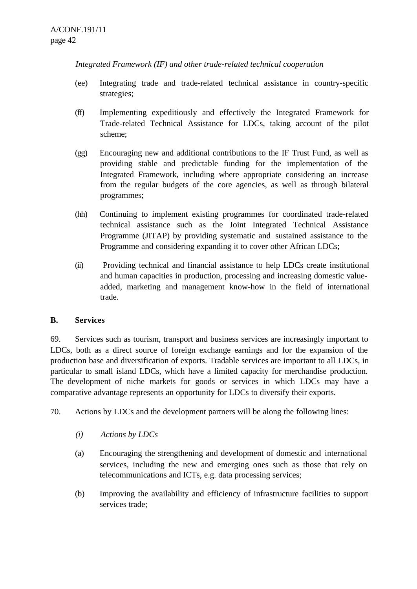*Integrated Framework (IF) and other trade-related technical cooperation*

- (ee) Integrating trade and trade-related technical assistance in country-specific strategies;
- (ff) Implementing expeditiously and effectively the Integrated Framework for Trade-related Technical Assistance for LDCs, taking account of the pilot scheme;
- (gg) Encouraging new and additional contributions to the IF Trust Fund, as well as providing stable and predictable funding for the implementation of the Integrated Framework, including where appropriate considering an increase from the regular budgets of the core agencies, as well as through bilateral programmes;
- (hh) Continuing to implement existing programmes for coordinated trade-related technical assistance such as the Joint Integrated Technical Assistance Programme (JITAP) by providing systematic and sustained assistance to the Programme and considering expanding it to cover other African LDCs;
- (ii) Providing technical and financial assistance to help LDCs create institutional and human capacities in production, processing and increasing domestic valueadded, marketing and management know-how in the field of international trade.

## **B. Services**

69. Services such as tourism, transport and business services are increasingly important to LDCs, both as a direct source of foreign exchange earnings and for the expansion of the production base and diversification of exports. Tradable services are important to all LDCs, in particular to small island LDCs, which have a limited capacity for merchandise production. The development of niche markets for goods or services in which LDCs may have a comparative advantage represents an opportunity for LDCs to diversify their exports.

70. Actions by LDCs and the development partners will be along the following lines:

- *(i) Actions by LDCs*
- (a) Encouraging the strengthening and development of domestic and international services, including the new and emerging ones such as those that rely on telecommunications and ICTs, e.g. data processing services;
- (b) Improving the availability and efficiency of infrastructure facilities to support services trade;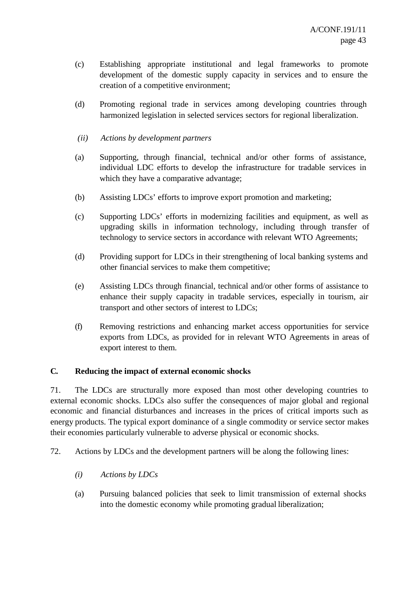- (c) Establishing appropriate institutional and legal frameworks to promote development of the domestic supply capacity in services and to ensure the creation of a competitive environment;
- (d) Promoting regional trade in services among developing countries through harmonized legislation in selected services sectors for regional liberalization.
- *(ii) Actions by development partners*
- (a) Supporting, through financial, technical and/or other forms of assistance, individual LDC efforts to develop the infrastructure for tradable services in which they have a comparative advantage;
- (b) Assisting LDCs' efforts to improve export promotion and marketing;
- (c) Supporting LDCs' efforts in modernizing facilities and equipment, as well as upgrading skills in information technology, including through transfer of technology to service sectors in accordance with relevant WTO Agreements;
- (d) Providing support for LDCs in their strengthening of local banking systems and other financial services to make them competitive;
- (e) Assisting LDCs through financial, technical and/or other forms of assistance to enhance their supply capacity in tradable services, especially in tourism, air transport and other sectors of interest to LDCs;
- (f) Removing restrictions and enhancing market access opportunities for service exports from LDCs, as provided for in relevant WTO Agreements in areas of export interest to them.

# **C. Reducing the impact of external economic shocks**

71. The LDCs are structurally more exposed than most other developing countries to external economic shocks. LDCs also suffer the consequences of major global and regional economic and financial disturbances and increases in the prices of critical imports such as energy products. The typical export dominance of a single commodity or service sector makes their economies particularly vulnerable to adverse physical or economic shocks.

- 72. Actions by LDCs and the development partners will be along the following lines:
	- *(i) Actions by LDCs*
	- (a) Pursuing balanced policies that seek to limit transmission of external shocks into the domestic economy while promoting gradual liberalization;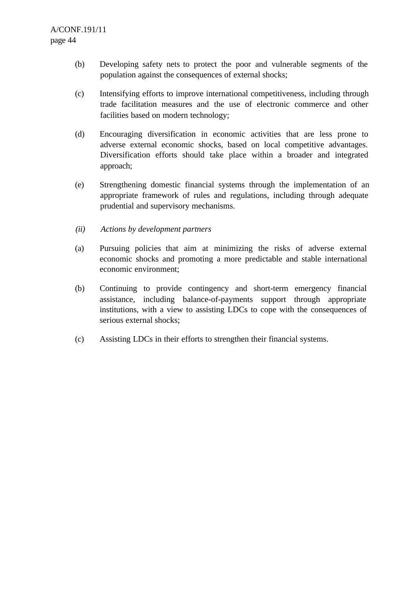- (b) Developing safety nets to protect the poor and vulnerable segments of the population against the consequences of external shocks;
- (c) Intensifying efforts to improve international competitiveness, including through trade facilitation measures and the use of electronic commerce and other facilities based on modern technology;
- (d) Encouraging diversification in economic activities that are less prone to adverse external economic shocks, based on local competitive advantages. Diversification efforts should take place within a broader and integrated approach;
- (e) Strengthening domestic financial systems through the implementation of an appropriate framework of rules and regulations, including through adequate prudential and supervisory mechanisms.
- *(ii) Actions by development partners*
- (a) Pursuing policies that aim at minimizing the risks of adverse external economic shocks and promoting a more predictable and stable international economic environment;
- (b) Continuing to provide contingency and short-term emergency financial assistance, including balance-of-payments support through appropriate institutions, with a view to assisting LDCs to cope with the consequences of serious external shocks;
- (c) Assisting LDCs in their efforts to strengthen their financial systems.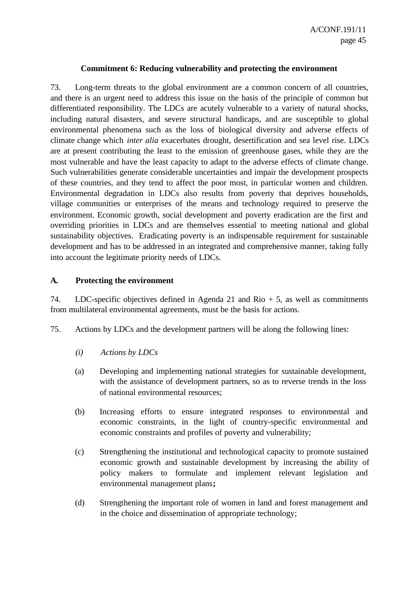#### **Commitment 6: Reducing vulnerability and protecting the environment**

73. Long-term threats to the global environment are a common concern of all countries, and there is an urgent need to address this issue on the basis of the principle of common but differentiated responsibility. The LDCs are acutely vulnerable to a variety of natural shocks, including natural disasters, and severe structural handicaps, and are susceptible to global environmental phenomena such as the loss of biological diversity and adverse effects of climate change which *inter alia* exacerbates drought, desertification and sea level rise. LDCs are at present contributing the least to the emission of greenhouse gases, while they are the most vulnerable and have the least capacity to adapt to the adverse effects of climate change. Such vulnerabilities generate considerable uncertainties and impair the development prospects of these countries, and they tend to affect the poor most, in particular women and children. Environmental degradation in LDCs also results from poverty that deprives households, village communities or enterprises of the means and technology required to preserve the environment. Economic growth, social development and poverty eradication are the first and overriding priorities in LDCs and are themselves essential to meeting national and global sustainability objectives. Eradicating poverty is an indispensable requirement for sustainable development and has to be addressed in an integrated and comprehensive manner, taking fully into account the legitimate priority needs of LDCs.

#### **A. Protecting the environment**

74. LDC-specific objectives defined in Agenda 21 and Rio + 5, as well as commitments from multilateral environmental agreements, must be the basis for actions.

- 75. Actions by LDCs and the development partners will be along the following lines:
	- *(i) Actions by LDCs*
	- (a) Developing and implementing national strategies for sustainable development, with the assistance of development partners, so as to reverse trends in the loss of national environmental resources;
	- (b) Increasing efforts to ensure integrated responses to environmental and economic constraints, in the light of country-specific environmental and economic constraints and profiles of poverty and vulnerability;
	- (c) Strengthening the institutional and technological capacity to promote sustained economic growth and sustainable development by increasing the ability of policy makers to formulate and implement relevant legislation and environmental management plans**;**
	- (d) Strengthening the important role of women in land and forest management and in the choice and dissemination of appropriate technology;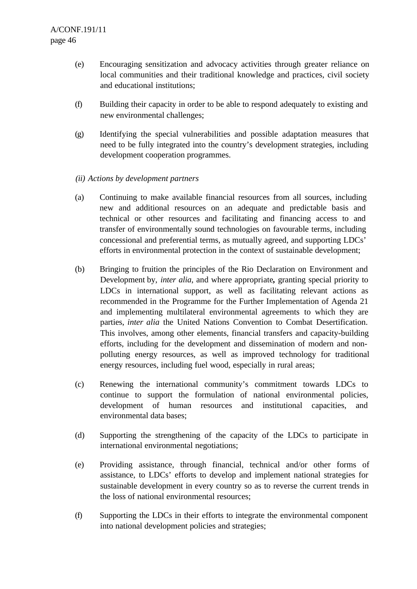- (e) Encouraging sensitization and advocacy activities through greater reliance on local communities and their traditional knowledge and practices, civil society and educational institutions;
- (f) Building their capacity in order to be able to respond adequately to existing and new environmental challenges;
- (g) Identifying the special vulnerabilities and possible adaptation measures that need to be fully integrated into the country's development strategies, including development cooperation programmes.
- *(ii) Actions by development partners*
- (a) Continuing to make available financial resources from all sources, including new and additional resources on an adequate and predictable basis and technical or other resources and facilitating and financing access to and transfer of environmentally sound technologies on favourable terms, including concessional and preferential terms, as mutually agreed, and supporting LDCs' efforts in environmental protection in the context of sustainable development;
- (b) Bringing to fruition the principles of the Rio Declaration on Environment and Development by, *inter alia*, and where appropriate**,** granting special priority to LDCs in international support, as well as facilitating relevant actions as recommended in the Programme for the Further Implementation of Agenda 21 and implementing multilateral environmental agreements to which they are parties, *inter alia* the United Nations Convention to Combat Desertification. This involves, among other elements, financial transfers and capacity-building efforts, including for the development and dissemination of modern and nonpolluting energy resources, as well as improved technology for traditional energy resources, including fuel wood, especially in rural areas;
- (c) Renewing the international community's commitment towards LDCs to continue to support the formulation of national environmental policies, development of human resources and institutional capacities, and environmental data bases;
- (d) Supporting the strengthening of the capacity of the LDCs to participate in international environmental negotiations;
- (e) Providing assistance, through financial, technical and/or other forms of assistance, to LDCs' efforts to develop and implement national strategies for sustainable development in every country so as to reverse the current trends in the loss of national environmental resources;
- (f) Supporting the LDCs in their efforts to integrate the environmental component into national development policies and strategies;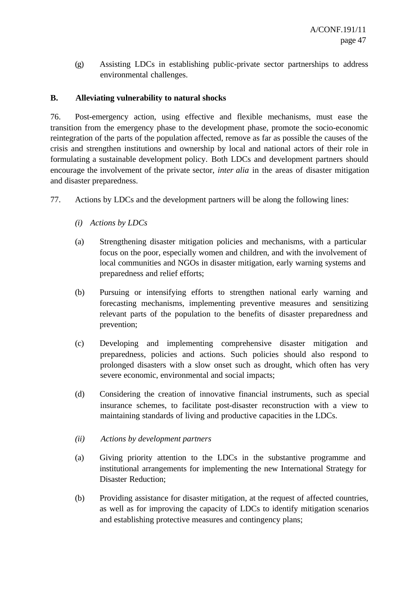(g) Assisting LDCs in establishing public-private sector partnerships to address environmental challenges.

## **B. Alleviating vulnerability to natural shocks**

76. Post-emergency action, using effective and flexible mechanisms, must ease the transition from the emergency phase to the development phase, promote the socio-economic reintegration of the parts of the population affected, remove as far as possible the causes of the crisis and strengthen institutions and ownership by local and national actors of their role in formulating a sustainable development policy. Both LDCs and development partners should encourage the involvement of the private sector, *inter alia* in the areas of disaster mitigation and disaster preparedness.

- 77. Actions by LDCs and the development partners will be along the following lines:
	- *(i) Actions by LDCs*
	- (a) Strengthening disaster mitigation policies and mechanisms, with a particular focus on the poor, especially women and children, and with the involvement of local communities and NGOs in disaster mitigation, early warning systems and preparedness and relief efforts;
	- (b) Pursuing or intensifying efforts to strengthen national early warning and forecasting mechanisms, implementing preventive measures and sensitizing relevant parts of the population to the benefits of disaster preparedness and prevention;
	- (c) Developing and implementing comprehensive disaster mitigation and preparedness, policies and actions. Such policies should also respond to prolonged disasters with a slow onset such as drought, which often has very severe economic, environmental and social impacts;
	- (d) Considering the creation of innovative financial instruments, such as special insurance schemes, to facilitate post-disaster reconstruction with a view to maintaining standards of living and productive capacities in the LDCs.
	- *(ii) Actions by development partners*
	- (a) Giving priority attention to the LDCs in the substantive programme and institutional arrangements for implementing the new International Strategy for Disaster Reduction;
	- (b) Providing assistance for disaster mitigation, at the request of affected countries, as well as for improving the capacity of LDCs to identify mitigation scenarios and establishing protective measures and contingency plans;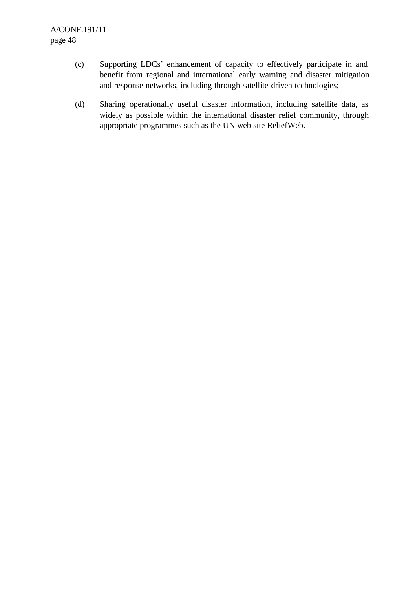- (c) Supporting LDCs' enhancement of capacity to effectively participate in and benefit from regional and international early warning and disaster mitigation and response networks, including through satellite-driven technologies;
- (d) Sharing operationally useful disaster information, including satellite data, as widely as possible within the international disaster relief community, through appropriate programmes such as the UN web site ReliefWeb.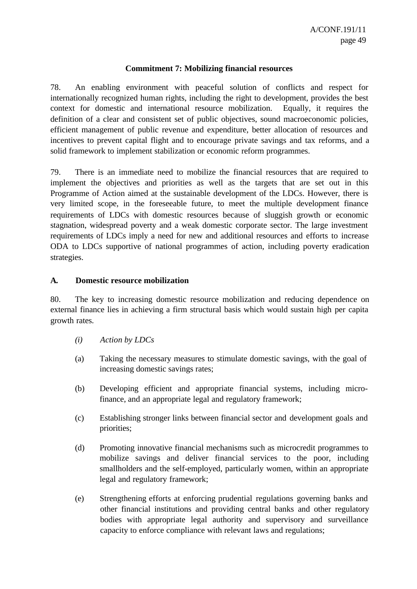## **Commitment 7: Mobilizing financial resources**

78. An enabling environment with peaceful solution of conflicts and respect for internationally recognized human rights, including the right to development, provides the best context for domestic and international resource mobilization. Equally, it requires the definition of a clear and consistent set of public objectives, sound macroeconomic policies, efficient management of public revenue and expenditure, better allocation of resources and incentives to prevent capital flight and to encourage private savings and tax reforms, and a solid framework to implement stabilization or economic reform programmes.

79. There is an immediate need to mobilize the financial resources that are required to implement the objectives and priorities as well as the targets that are set out in this Programme of Action aimed at the sustainable development of the LDCs. However, there is very limited scope, in the foreseeable future, to meet the multiple development finance requirements of LDCs with domestic resources because of sluggish growth or economic stagnation, widespread poverty and a weak domestic corporate sector. The large investment requirements of LDCs imply a need for new and additional resources and efforts to increase ODA to LDCs supportive of national programmes of action, including poverty eradication strategies.

#### **A. Domestic resource mobilization**

80. The key to increasing domestic resource mobilization and reducing dependence on external finance lies in achieving a firm structural basis which would sustain high per capita growth rates.

- *(i) Action by LDCs*
- (a) Taking the necessary measures to stimulate domestic savings, with the goal of increasing domestic savings rates;
- (b) Developing efficient and appropriate financial systems, including microfinance, and an appropriate legal and regulatory framework;
- (c) Establishing stronger links between financial sector and development goals and priorities;
- (d) Promoting innovative financial mechanisms such as microcredit programmes to mobilize savings and deliver financial services to the poor, including smallholders and the self-employed, particularly women, within an appropriate legal and regulatory framework;
- (e) Strengthening efforts at enforcing prudential regulations governing banks and other financial institutions and providing central banks and other regulatory bodies with appropriate legal authority and supervisory and surveillance capacity to enforce compliance with relevant laws and regulations;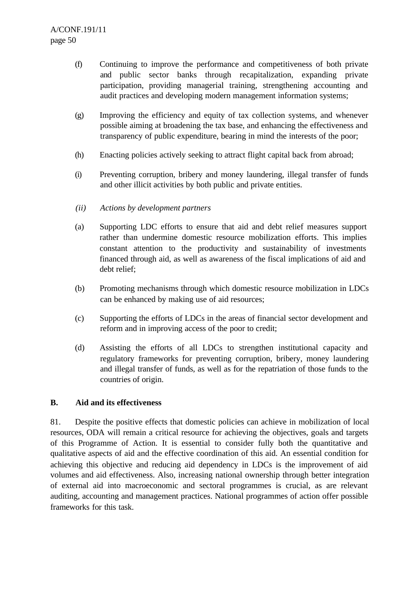- (f) Continuing to improve the performance and competitiveness of both private and public sector banks through recapitalization, expanding private participation, providing managerial training, strengthening accounting and audit practices and developing modern management information systems;
- (g) Improving the efficiency and equity of tax collection systems, and whenever possible aiming at broadening the tax base, and enhancing the effectiveness and transparency of public expenditure, bearing in mind the interests of the poor;
- (h) Enacting policies actively seeking to attract flight capital back from abroad;
- (i) Preventing corruption, bribery and money laundering, illegal transfer of funds and other illicit activities by both public and private entities.
- *(ii) Actions by development partners*
- (a) Supporting LDC efforts to ensure that aid and debt relief measures support rather than undermine domestic resource mobilization efforts. This implies constant attention to the productivity and sustainability of investments financed through aid, as well as awareness of the fiscal implications of aid and debt relief;
- (b) Promoting mechanisms through which domestic resource mobilization in LDCs can be enhanced by making use of aid resources;
- (c) Supporting the efforts of LDCs in the areas of financial sector development and reform and in improving access of the poor to credit;
- (d) Assisting the efforts of all LDCs to strengthen institutional capacity and regulatory frameworks for preventing corruption, bribery, money laundering and illegal transfer of funds, as well as for the repatriation of those funds to the countries of origin.

## **B. Aid and its effectiveness**

81. Despite the positive effects that domestic policies can achieve in mobilization of local resources, ODA will remain a critical resource for achieving the objectives, goals and targets of this Programme of Action. It is essential to consider fully both the quantitative and qualitative aspects of aid and the effective coordination of this aid. An essential condition for achieving this objective and reducing aid dependency in LDCs is the improvement of aid volumes and aid effectiveness. Also, increasing national ownership through better integration of external aid into macroeconomic and sectoral programmes is crucial, as are relevant auditing, accounting and management practices. National programmes of action offer possible frameworks for this task.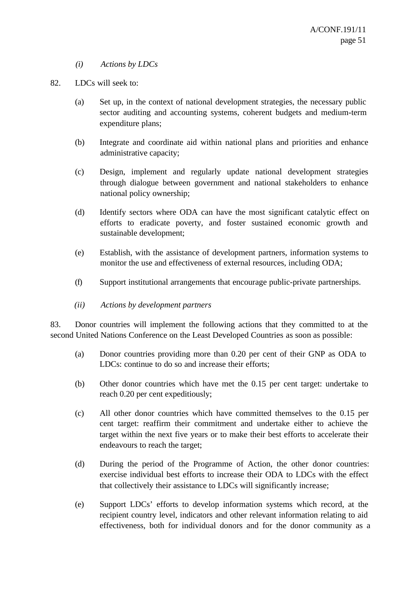*(i) Actions by LDCs*

#### 82. LDCs will seek to:

- (a) Set up, in the context of national development strategies, the necessary public sector auditing and accounting systems, coherent budgets and medium-term expenditure plans;
- (b) Integrate and coordinate aid within national plans and priorities and enhance administrative capacity;
- (c) Design, implement and regularly update national development strategies through dialogue between government and national stakeholders to enhance national policy ownership;
- (d) Identify sectors where ODA can have the most significant catalytic effect on efforts to eradicate poverty, and foster sustained economic growth and sustainable development;
- (e) Establish, with the assistance of development partners, information systems to monitor the use and effectiveness of external resources, including ODA;
- (f) Support institutional arrangements that encourage public-private partnerships.
- *(ii) Actions by development partners*

83. Donor countries will implement the following actions that they committed to at the second United Nations Conference on the Least Developed Countries as soon as possible:

- (a) Donor countries providing more than 0.20 per cent of their GNP as ODA to LDCs: continue to do so and increase their efforts;
- (b) Other donor countries which have met the 0.15 per cent target: undertake to reach 0.20 per cent expeditiously;
- (c) All other donor countries which have committed themselves to the 0.15 per cent target: reaffirm their commitment and undertake either to achieve the target within the next five years or to make their best efforts to accelerate their endeavours to reach the target;
- (d) During the period of the Programme of Action, the other donor countries: exercise individual best efforts to increase their ODA to LDCs with the effect that collectively their assistance to LDCs will significantly increase;
- (e) Support LDCs' efforts to develop information systems which record, at the recipient country level, indicators and other relevant information relating to aid effectiveness, both for individual donors and for the donor community as a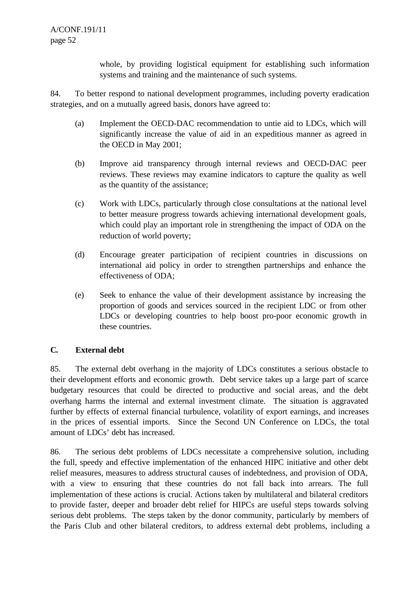whole, by providing logistical equipment for establishing such information systems and training and the maintenance of such systems.

84. To better respond to national development programmes, including poverty eradication strategies, and on a mutually agreed basis, donors have agreed to:

- (a) Implement the OECD-DAC recommendation to untie aid to LDCs, which will significantly increase the value of aid in an expeditious manner as agreed in the OECD in May 2001;
- (b) Improve aid transparency through internal reviews and OECD-DAC peer reviews. These reviews may examine indicators to capture the quality as well as the quantity of the assistance;
- (c) Work with LDCs, particularly through close consultations at the national level to better measure progress towards achieving international development goals, which could play an important role in strengthening the impact of ODA on the reduction of world poverty;
- (d) Encourage greater participation of recipient countries in discussions on international aid policy in order to strengthen partnerships and enhance the effectiveness of ODA;
- (e) Seek to enhance the value of their development assistance by increasing the proportion of goods and services sourced in the recipient LDC or from other LDCs or developing countries to help boost pro-poor economic growth in these countries.

## **C. External debt**

85. The external debt overhang in the majority of LDCs constitutes a serious obstacle to their development efforts and economic growth. Debt service takes up a large part of scarce budgetary resources that could be directed to productive and social areas, and the debt overhang harms the internal and external investment climate. The situation is aggravated further by effects of external financial turbulence, volatility of export earnings, and increases in the prices of essential imports. Since the Second UN Conference on LDCs, the total amount of LDCs' debt has increased.

86. The serious debt problems of LDCs necessitate a comprehensive solution, including the full, speedy and effective implementation of the enhanced HIPC initiative and other debt relief measures, measures to address structural causes of indebtedness, and provision of ODA, with a view to ensuring that these countries do not fall back into arrears. The full implementation of these actions is crucial. Actions taken by multilateral and bilateral creditors to provide faster, deeper and broader debt relief for HIPCs are useful steps towards solving serious debt problems. The steps taken by the donor community, particularly by members of the Paris Club and other bilateral creditors, to address external debt problems, including a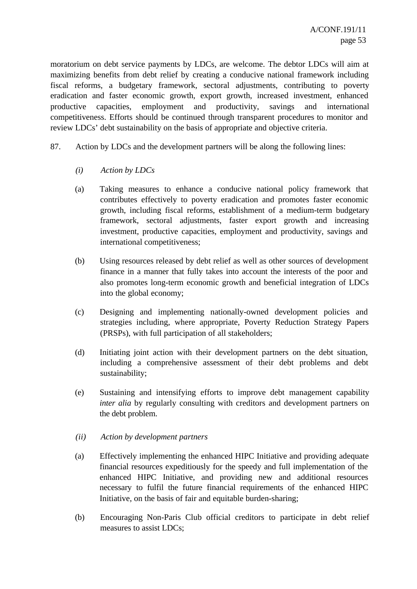moratorium on debt service payments by LDCs, are welcome. The debtor LDCs will aim at maximizing benefits from debt relief by creating a conducive national framework including fiscal reforms, a budgetary framework, sectoral adjustments, contributing to poverty eradication and faster economic growth, export growth, increased investment, enhanced productive capacities, employment and productivity, savings and international competitiveness. Efforts should be continued through transparent procedures to monitor and review LDCs' debt sustainability on the basis of appropriate and objective criteria.

- 87. Action by LDCs and the development partners will be along the following lines:
	- *(i) Action by LDCs*
	- (a) Taking measures to enhance a conducive national policy framework that contributes effectively to poverty eradication and promotes faster economic growth, including fiscal reforms, establishment of a medium-term budgetary framework, sectoral adjustments, faster export growth and increasing investment, productive capacities, employment and productivity, savings and international competitiveness;
	- (b) Using resources released by debt relief as well as other sources of development finance in a manner that fully takes into account the interests of the poor and also promotes long-term economic growth and beneficial integration of LDCs into the global economy;
	- (c) Designing and implementing nationally-owned development policies and strategies including, where appropriate, Poverty Reduction Strategy Papers (PRSPs), with full participation of all stakeholders;
	- (d) Initiating joint action with their development partners on the debt situation, including a comprehensive assessment of their debt problems and debt sustainability;
	- (e) Sustaining and intensifying efforts to improve debt management capability *inter alia* by regularly consulting with creditors and development partners on the debt problem.
	- *(ii) Action by development partners*
	- (a) Effectively implementing the enhanced HIPC Initiative and providing adequate financial resources expeditiously for the speedy and full implementation of the enhanced HIPC Initiative, and providing new and additional resources necessary to fulfil the future financial requirements of the enhanced HIPC Initiative, on the basis of fair and equitable burden-sharing;
	- (b) Encouraging Non-Paris Club official creditors to participate in debt relief measures to assist LDCs;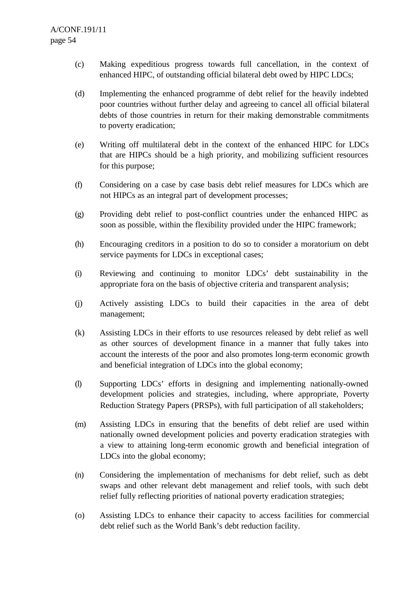- (c) Making expeditious progress towards full cancellation, in the context of enhanced HIPC, of outstanding official bilateral debt owed by HIPC LDCs;
- (d) Implementing the enhanced programme of debt relief for the heavily indebted poor countries without further delay and agreeing to cancel all official bilateral debts of those countries in return for their making demonstrable commitments to poverty eradication;
- (e) Writing off multilateral debt in the context of the enhanced HIPC for LDCs that are HIPCs should be a high priority, and mobilizing sufficient resources for this purpose;
- (f) Considering on a case by case basis debt relief measures for LDCs which are not HIPCs as an integral part of development processes;
- (g) Providing debt relief to post-conflict countries under the enhanced HIPC as soon as possible, within the flexibility provided under the HIPC framework;
- (h) Encouraging creditors in a position to do so to consider a moratorium on debt service payments for LDCs in exceptional cases;
- (i) Reviewing and continuing to monitor LDCs' debt sustainability in the appropriate fora on the basis of objective criteria and transparent analysis;
- (j) Actively assisting LDCs to build their capacities in the area of debt management;
- (k) Assisting LDCs in their efforts to use resources released by debt relief as well as other sources of development finance in a manner that fully takes into account the interests of the poor and also promotes long-term economic growth and beneficial integration of LDCs into the global economy;
- (l) Supporting LDCs' efforts in designing and implementing nationally-owned development policies and strategies, including, where appropriate, Poverty Reduction Strategy Papers (PRSPs), with full participation of all stakeholders;
- (m) Assisting LDCs in ensuring that the benefits of debt relief are used within nationally owned development policies and poverty eradication strategies with a view to attaining long-term economic growth and beneficial integration of LDCs into the global economy;
- (n) Considering the implementation of mechanisms for debt relief, such as debt swaps and other relevant debt management and relief tools, with such debt relief fully reflecting priorities of national poverty eradication strategies;
- (o) Assisting LDCs to enhance their capacity to access facilities for commercial debt relief such as the World Bank's debt reduction facility.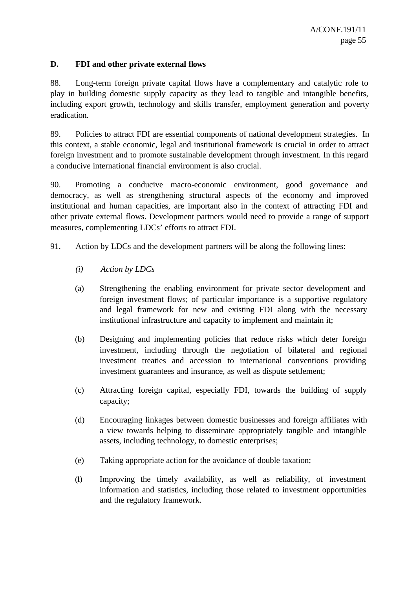#### **D. FDI and other private external flows**

88. Long-term foreign private capital flows have a complementary and catalytic role to play in building domestic supply capacity as they lead to tangible and intangible benefits, including export growth, technology and skills transfer, employment generation and poverty eradication.

89. Policies to attract FDI are essential components of national development strategies. In this context, a stable economic, legal and institutional framework is crucial in order to attract foreign investment and to promote sustainable development through investment. In this regard a conducive international financial environment is also crucial.

90. Promoting a conducive macro-economic environment, good governance and democracy, as well as strengthening structural aspects of the economy and improved institutional and human capacities, are important also in the context of attracting FDI and other private external flows. Development partners would need to provide a range of support measures, complementing LDCs' efforts to attract FDI.

- 91. Action by LDCs and the development partners will be along the following lines:
	- *(i) Action by LDCs*
	- (a) Strengthening the enabling environment for private sector development and foreign investment flows; of particular importance is a supportive regulatory and legal framework for new and existing FDI along with the necessary institutional infrastructure and capacity to implement and maintain it;
	- (b) Designing and implementing policies that reduce risks which deter foreign investment, including through the negotiation of bilateral and regional investment treaties and accession to international conventions providing investment guarantees and insurance, as well as dispute settlement;
	- (c) Attracting foreign capital, especially FDI, towards the building of supply capacity;
	- (d) Encouraging linkages between domestic businesses and foreign affiliates with a view towards helping to disseminate appropriately tangible and intangible assets, including technology, to domestic enterprises;
	- (e) Taking appropriate action for the avoidance of double taxation;
	- (f) Improving the timely availability, as well as reliability, of investment information and statistics, including those related to investment opportunities and the regulatory framework.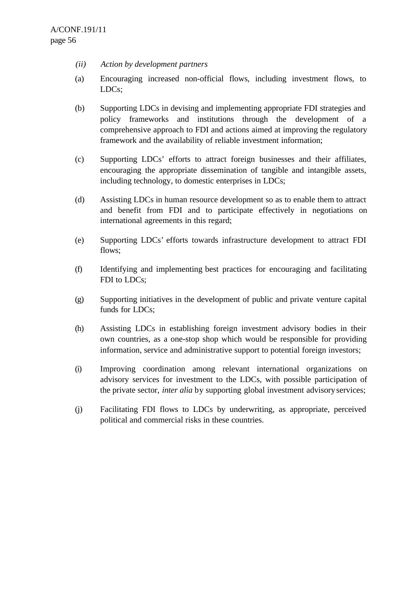- *(ii) Action by development partners*
- (a) Encouraging increased non-official flows, including investment flows, to LDCs;
- (b) Supporting LDCs in devising and implementing appropriate FDI strategies and policy frameworks and institutions through the development of a comprehensive approach to FDI and actions aimed at improving the regulatory framework and the availability of reliable investment information;
- (c) Supporting LDCs' efforts to attract foreign businesses and their affiliates, encouraging the appropriate dissemination of tangible and intangible assets, including technology, to domestic enterprises in LDCs;
- (d) Assisting LDCs in human resource development so as to enable them to attract and benefit from FDI and to participate effectively in negotiations on international agreements in this regard;
- (e) Supporting LDCs' efforts towards infrastructure development to attract FDI flows;
- (f) Identifying and implementing best practices for encouraging and facilitating FDI to LDCs;
- (g) Supporting initiatives in the development of public and private venture capital funds for LDCs;
- (h) Assisting LDCs in establishing foreign investment advisory bodies in their own countries, as a one-stop shop which would be responsible for providing information, service and administrative support to potential foreign investors;
- (i) Improving coordination among relevant international organizations on advisory services for investment to the LDCs, with possible participation of the private sector, *inter alia* by supporting global investment advisoryservices;
- (j) Facilitating FDI flows to LDCs by underwriting, as appropriate, perceived political and commercial risks in these countries.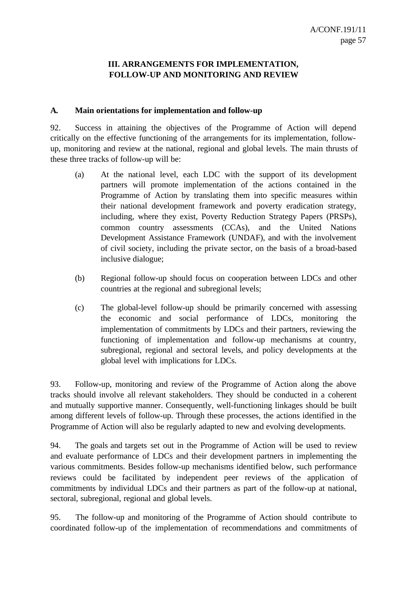## **III. ARRANGEMENTS FOR IMPLEMENTATION, FOLLOW-UP AND MONITORING AND REVIEW**

#### **A. Main orientations for implementation and follow-up**

92. Success in attaining the objectives of the Programme of Action will depend critically on the effective functioning of the arrangements for its implementation, followup, monitoring and review at the national, regional and global levels. The main thrusts of these three tracks of follow-up will be:

- (a) At the national level, each LDC with the support of its development partners will promote implementation of the actions contained in the Programme of Action by translating them into specific measures within their national development framework and poverty eradication strategy, including, where they exist, Poverty Reduction Strategy Papers (PRSPs), common country assessments (CCAs), and the United Nations Development Assistance Framework (UNDAF), and with the involvement of civil society, including the private sector, on the basis of a broad-based inclusive dialogue;
- (b) Regional follow-up should focus on cooperation between LDCs and other countries at the regional and subregional levels;
- (c) The global-level follow-up should be primarily concerned with assessing the economic and social performance of LDCs, monitoring the implementation of commitments by LDCs and their partners, reviewing the functioning of implementation and follow-up mechanisms at country, subregional, regional and sectoral levels, and policy developments at the global level with implications for LDCs.

93. Follow-up, monitoring and review of the Programme of Action along the above tracks should involve all relevant stakeholders. They should be conducted in a coherent and mutually supportive manner. Consequently, well-functioning linkages should be built among different levels of follow-up. Through these processes, the actions identified in the Programme of Action will also be regularly adapted to new and evolving developments.

94. The goals and targets set out in the Programme of Action will be used to review and evaluate performance of LDCs and their development partners in implementing the various commitments. Besides follow-up mechanisms identified below, such performance reviews could be facilitated by independent peer reviews of the application of commitments by individual LDCs and their partners as part of the follow-up at national, sectoral, subregional, regional and global levels.

95. The follow-up and monitoring of the Programme of Action should contribute to coordinated follow-up of the implementation of recommendations and commitments of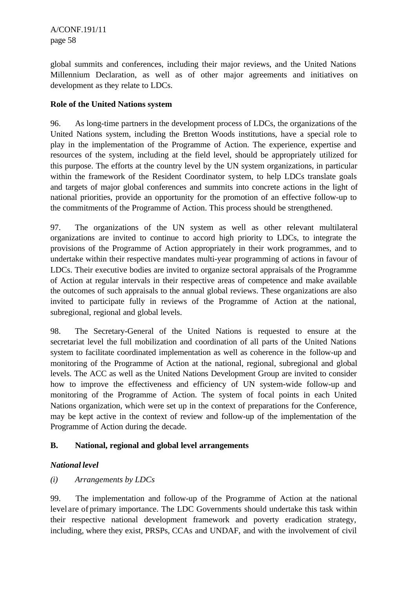global summits and conferences, including their major reviews, and the United Nations Millennium Declaration, as well as of other major agreements and initiatives on development as they relate to LDCs.

# **Role of the United Nations system**

96. As long-time partners in the development process of LDCs, the organizations of the United Nations system, including the Bretton Woods institutions, have a special role to play in the implementation of the Programme of Action. The experience, expertise and resources of the system, including at the field level, should be appropriately utilized for this purpose. The efforts at the country level by the UN system organizations, in particular within the framework of the Resident Coordinator system, to help LDCs translate goals and targets of major global conferences and summits into concrete actions in the light of national priorities, provide an opportunity for the promotion of an effective follow-up to the commitments of the Programme of Action. This process should be strengthened.

97. The organizations of the UN system as well as other relevant multilateral organizations are invited to continue to accord high priority to LDCs, to integrate the provisions of the Programme of Action appropriately in their work programmes, and to undertake within their respective mandates multi-year programming of actions in favour of LDCs. Their executive bodies are invited to organize sectoral appraisals of the Programme of Action at regular intervals in their respective areas of competence and make available the outcomes of such appraisals to the annual global reviews. These organizations are also invited to participate fully in reviews of the Programme of Action at the national, subregional, regional and global levels.

98. The Secretary-General of the United Nations is requested to ensure at the secretariat level the full mobilization and coordination of all parts of the United Nations system to facilitate coordinated implementation as well as coherence in the follow-up and monitoring of the Programme of Action at the national, regional, subregional and global levels. The ACC as well as the United Nations Development Group are invited to consider how to improve the effectiveness and efficiency of UN system-wide follow-up and monitoring of the Programme of Action. The system of focal points in each United Nations organization, which were set up in the context of preparations for the Conference, may be kept active in the context of review and follow-up of the implementation of the Programme of Action during the decade.

# **B. National, regional and global level arrangements**

# *National level*

# *(i) Arrangements by LDCs*

99. The implementation and follow-up of the Programme of Action at the national level are of primary importance. The LDC Governments should undertake this task within their respective national development framework and poverty eradication strategy, including, where they exist, PRSPs, CCAs and UNDAF, and with the involvement of civil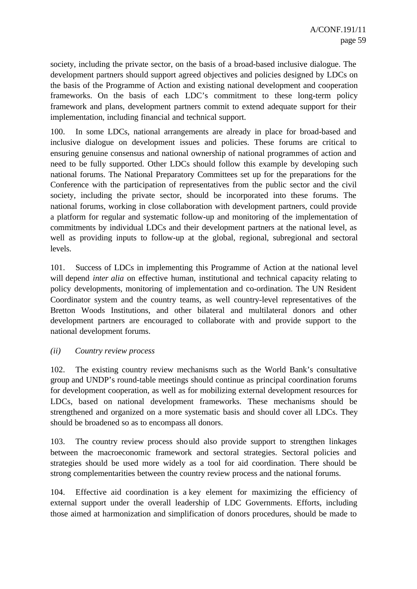society, including the private sector, on the basis of a broad-based inclusive dialogue. The development partners should support agreed objectives and policies designed by LDCs on the basis of the Programme of Action and existing national development and cooperation frameworks. On the basis of each LDC's commitment to these long-term policy framework and plans, development partners commit to extend adequate support for their implementation, including financial and technical support.

100. In some LDCs, national arrangements are already in place for broad-based and inclusive dialogue on development issues and policies. These forums are critical to ensuring genuine consensus and national ownership of national programmes of action and need to be fully supported. Other LDCs should follow this example by developing such national forums. The National Preparatory Committees set up for the preparations for the Conference with the participation of representatives from the public sector and the civil society, including the private sector, should be incorporated into these forums. The national forums, working in close collaboration with development partners, could provide a platform for regular and systematic follow-up and monitoring of the implementation of commitments by individual LDCs and their development partners at the national level, as well as providing inputs to follow-up at the global, regional, subregional and sectoral levels.

101. Success of LDCs in implementing this Programme of Action at the national level will depend *inter alia* on effective human, institutional and technical capacity relating to policy developments, monitoring of implementation and co-ordination. The UN Resident Coordinator system and the country teams, as well country-level representatives of the Bretton Woods Institutions, and other bilateral and multilateral donors and other development partners are encouraged to collaborate with and provide support to the national development forums.

## *(ii) Country review process*

102. The existing country review mechanisms such as the World Bank's consultative group and UNDP's round-table meetings should continue as principal coordination forums for development cooperation, as well as for mobilizing external development resources for LDCs, based on national development frameworks. These mechanisms should be strengthened and organized on a more systematic basis and should cover all LDCs. They should be broadened so as to encompass all donors.

103. The country review process should also provide support to strengthen linkages between the macroeconomic framework and sectoral strategies. Sectoral policies and strategies should be used more widely as a tool for aid coordination. There should be strong complementarities between the country review process and the national forums.

104. Effective aid coordination is a key element for maximizing the efficiency of external support under the overall leadership of LDC Governments. Efforts, including those aimed at harmonization and simplification of donors procedures, should be made to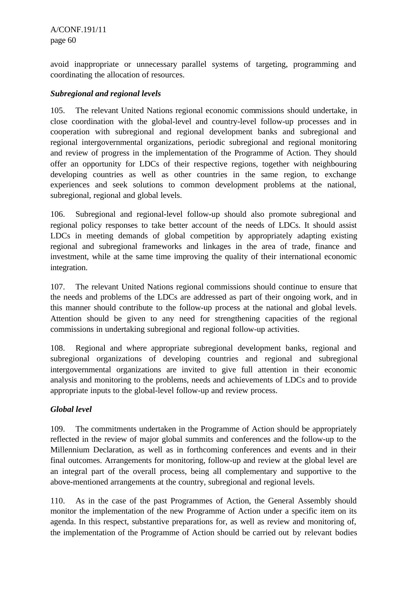avoid inappropriate or unnecessary parallel systems of targeting, programming and coordinating the allocation of resources.

## *Subregional and regional levels*

105. The relevant United Nations regional economic commissions should undertake, in close coordination with the global-level and country-level follow-up processes and in cooperation with subregional and regional development banks and subregional and regional intergovernmental organizations, periodic subregional and regional monitoring and review of progress in the implementation of the Programme of Action. They should offer an opportunity for LDCs of their respective regions, together with neighbouring developing countries as well as other countries in the same region, to exchange experiences and seek solutions to common development problems at the national, subregional, regional and global levels.

106. Subregional and regional-level follow-up should also promote subregional and regional policy responses to take better account of the needs of LDCs. It should assist LDCs in meeting demands of global competition by appropriately adapting existing regional and subregional frameworks and linkages in the area of trade, finance and investment, while at the same time improving the quality of their international economic integration.

107. The relevant United Nations regional commissions should continue to ensure that the needs and problems of the LDCs are addressed as part of their ongoing work, and in this manner should contribute to the follow-up process at the national and global levels. Attention should be given to any need for strengthening capacities of the regional commissions in undertaking subregional and regional follow-up activities.

108. Regional and where appropriate subregional development banks, regional and subregional organizations of developing countries and regional and subregional intergovernmental organizations are invited to give full attention in their economic analysis and monitoring to the problems, needs and achievements of LDCs and to provide appropriate inputs to the global-level follow-up and review process.

## *Global level*

109. The commitments undertaken in the Programme of Action should be appropriately reflected in the review of major global summits and conferences and the follow-up to the Millennium Declaration, as well as in forthcoming conferences and events and in their final outcomes. Arrangements for monitoring, follow-up and review at the global level are an integral part of the overall process, being all complementary and supportive to the above-mentioned arrangements at the country, subregional and regional levels.

110. As in the case of the past Programmes of Action, the General Assembly should monitor the implementation of the new Programme of Action under a specific item on its agenda. In this respect, substantive preparations for, as well as review and monitoring of, the implementation of the Programme of Action should be carried out by relevant bodies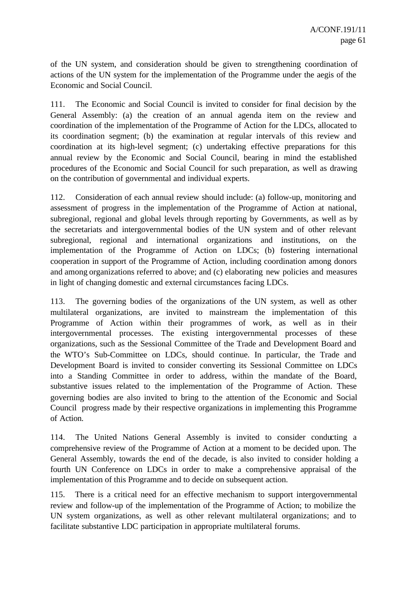of the UN system, and consideration should be given to strengthening coordination of actions of the UN system for the implementation of the Programme under the aegis of the Economic and Social Council.

111. The Economic and Social Council is invited to consider for final decision by the General Assembly: (a) the creation of an annual agenda item on the review and coordination of the implementation of the Programme of Action for the LDCs, allocated to its coordination segment; (b) the examination at regular intervals of this review and coordination at its high-level segment; (c) undertaking effective preparations for this annual review by the Economic and Social Council, bearing in mind the established procedures of the Economic and Social Council for such preparation, as well as drawing on the contribution of governmental and individual experts.

112. Consideration of each annual review should include: (a) follow-up, monitoring and assessment of progress in the implementation of the Programme of Action at national, subregional, regional and global levels through reporting by Governments, as well as by the secretariats and intergovernmental bodies of the UN system and of other relevant subregional, regional and international organizations and institutions, on the implementation of the Programme of Action on LDCs; (b) fostering international cooperation in support of the Programme of Action, including coordination among donors and among organizations referred to above; and (c) elaborating new policies and measures in light of changing domestic and external circumstances facing LDCs.

113. The governing bodies of the organizations of the UN system, as well as other multilateral organizations, are invited to mainstream the implementation of this Programme of Action within their programmes of work, as well as in their intergovernmental processes. The existing intergovernmental processes of these organizations, such as the Sessional Committee of the Trade and Development Board and the WTO's Sub-Committee on LDCs, should continue. In particular, the Trade and Development Board is invited to consider converting its Sessional Committee on LDCs into a Standing Committee in order to address, within the mandate of the Board, substantive issues related to the implementation of the Programme of Action. These governing bodies are also invited to bring to the attention of the Economic and Social Council progress made by their respective organizations in implementing this Programme of Action.

114. The United Nations General Assembly is invited to consider conducting a comprehensive review of the Programme of Action at a moment to be decided upon. The General Assembly, towards the end of the decade, is also invited to consider holding a fourth UN Conference on LDCs in order to make a comprehensive appraisal of the implementation of this Programme and to decide on subsequent action.

115. There is a critical need for an effective mechanism to support intergovernmental review and follow-up of the implementation of the Programme of Action; to mobilize the UN system organizations, as well as other relevant multilateral organizations; and to facilitate substantive LDC participation in appropriate multilateral forums.